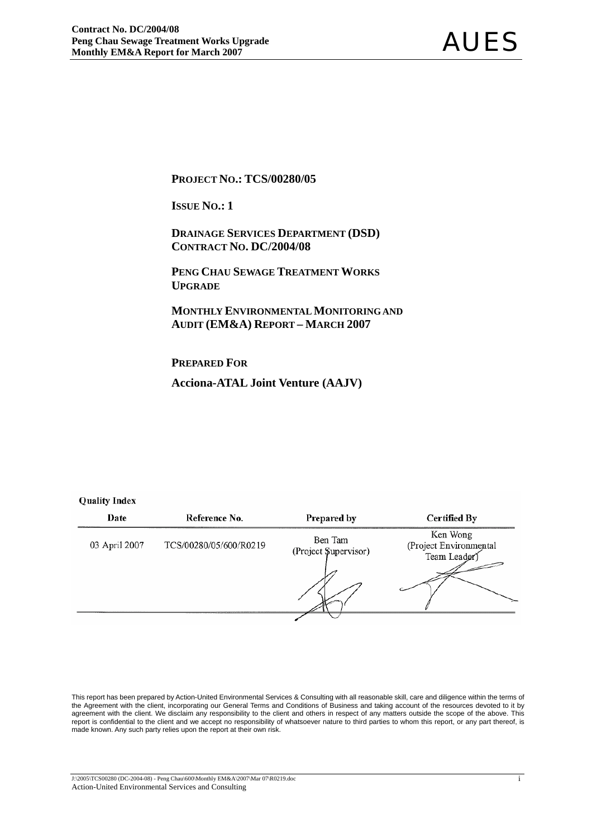#### **PROJECT NO.: TCS/00280/05**

**ISSUE NO.: 1** 

 **DRAINAGE SERVICES DEPARTMENT (DSD) CONTRACT NO. DC/2004/08**

 **PENG CHAU SEWAGE TREATMENT WORKS UPGRADE**

 **MONTHLY ENVIRONMENTAL MONITORING AND AUDIT (EM&A) REPORT – MARCH 2007** 

**PREPARED FOR**

**Acciona-ATAL Joint Venture (AAJV)**

#### **Quality Index**

| Date          | Reference No.          | Prepared by                     | <b>Certified By</b>                               |
|---------------|------------------------|---------------------------------|---------------------------------------------------|
| 03 April 2007 | TCS/00280/05/600/R0219 | Ben Tam<br>(Project Supervisor) | Ken Wong<br>(Project Environmental<br>Team Leader |
|               |                        |                                 |                                                   |

This report has been prepared by Action-United Environmental Services & Consulting with all reasonable skill, care and diligence within the terms of the Agreement with the client, incorporating our General Terms and Conditions of Business and taking account of the resources devoted to it by agreement with the client. We disclaim any responsibility to the client and others in respect of any matters outside the scope of the above. This report is confidential to the client and we accept no responsibility of whatsoever nature to third parties to whom this report, or any part thereof, is made known. Any such party relies upon the report at their own risk.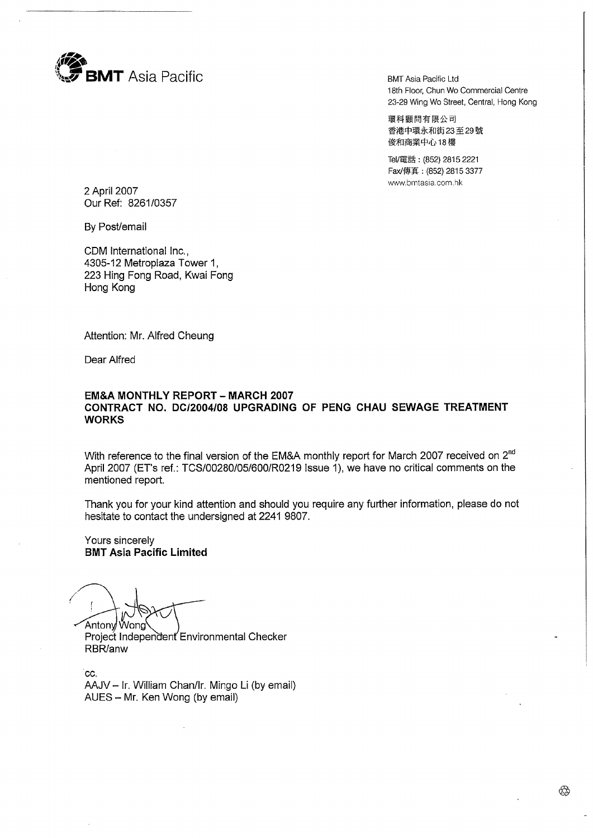

**BMT Asia Pacific Ltd** 18th Floor, Chun Wo Commercial Centre 23-29 Wing Wo Street, Central, Hong Kong

環科顧問有限公司 香港中環永和街23至29號 俊和商業中心18樓

Tel/電話: (852) 2815 2221 Fax/傳真: (852) 2815 3377 www.bmtasia.com.hk

2 April 2007 Our Ref: 8261/0357

By Post/email

CDM International Inc., 4305-12 Metroplaza Tower 1. 223 Hing Fong Road, Kwai Fong Hong Kong

Attention: Mr. Alfred Cheung

Dear Alfred

#### **EM&A MONTHLY REPORT - MARCH 2007** CONTRACT NO. DC/2004/08 UPGRADING OF PENG CHAU SEWAGE TREATMENT **WORKS**

With reference to the final version of the EM&A monthly report for March 2007 received on 2<sup>nd</sup> April 2007 (ET's ref.: TCS/00280/05/600/R0219 Issue 1), we have no critical comments on the mentioned report.

Thank you for your kind attention and should you require any further information, please do not hesitate to contact the undersigned at 2241 9807.

Yours sincerely **BMT Asia Pacific Limited** 

Antony Wong

Proiect Independent Environmental Checker RBR/anw

CC. AAJV - Ir. William Chan/Ir. Mingo Li (by email) AUES - Mr. Ken Wong (by email)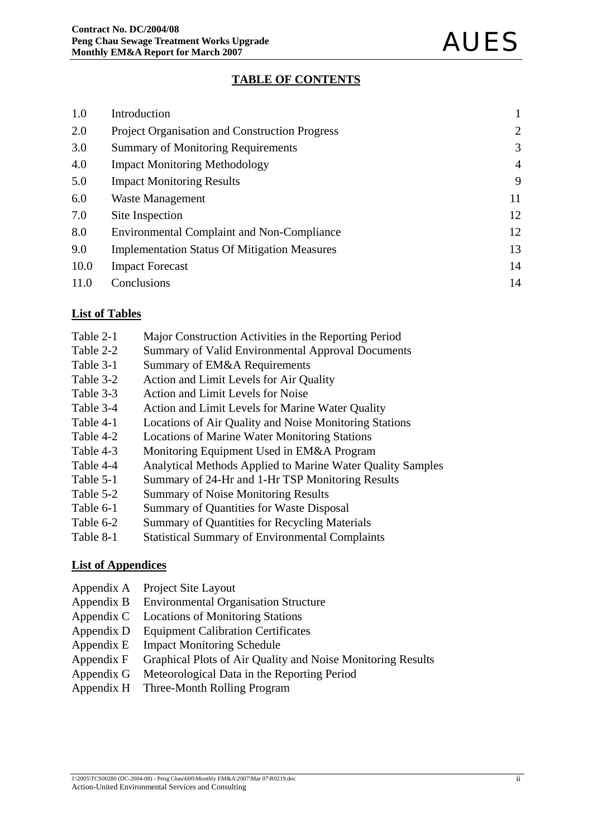## **TABLE OF CONTENTS**

| 1.0  | Introduction                                          |                |
|------|-------------------------------------------------------|----------------|
| 2.0  | <b>Project Organisation and Construction Progress</b> | 2              |
| 3.0  | <b>Summary of Monitoring Requirements</b>             | 3              |
| 4.0  | <b>Impact Monitoring Methodology</b>                  | $\overline{4}$ |
| 5.0  | <b>Impact Monitoring Results</b>                      | 9              |
| 6.0  | Waste Management                                      | 11             |
| 7.0  | Site Inspection                                       | 12             |
| 8.0  | <b>Environmental Complaint and Non-Compliance</b>     | 12             |
| 9.0  | <b>Implementation Status Of Mitigation Measures</b>   | 13             |
| 10.0 | <b>Impact Forecast</b>                                | 14             |
| 11.0 | Conclusions                                           | 14             |

### **List of Tables**

- Table 2-1 Major Construction Activities in the Reporting Period
- Table 2-2 Summary of Valid Environmental Approval Documents
- Table 3-1 Summary of EM&A Requirements
- Table 3-2 Action and Limit Levels for Air Quality
- Table 3-3 Action and Limit Levels for Noise
- Table 3-4 Action and Limit Levels for Marine Water Quality
- Table 4-1 Locations of Air Quality and Noise Monitoring Stations
- Table 4-2 Locations of Marine Water Monitoring Stations
- Table 4-3 Monitoring Equipment Used in EM&A Program
- Table 4-4 Analytical Methods Applied to Marine Water Quality Samples
- Table 5-1 Summary of 24-Hr and 1-Hr TSP Monitoring Results
- Table 5-2 Summary of Noise Monitoring Results
- Table 6-1 Summary of Quantities for Waste Disposal
- Table 6-2 Summary of Quantities for Recycling Materials
- Table 8-1 Statistical Summary of Environmental Complaints

## **List of Appendices**

- Appendix A Project Site Layout
- Appendix B Environmental Organisation Structure
- Appendix C Locations of Monitoring Stations
- Appendix D Equipment Calibration Certificates
- Appendix E Impact Monitoring Schedule
- Appendix F Graphical Plots of Air Quality and Noise Monitoring Results
- Appendix G Meteorological Data in the Reporting Period
- Appendix H Three-Month Rolling Program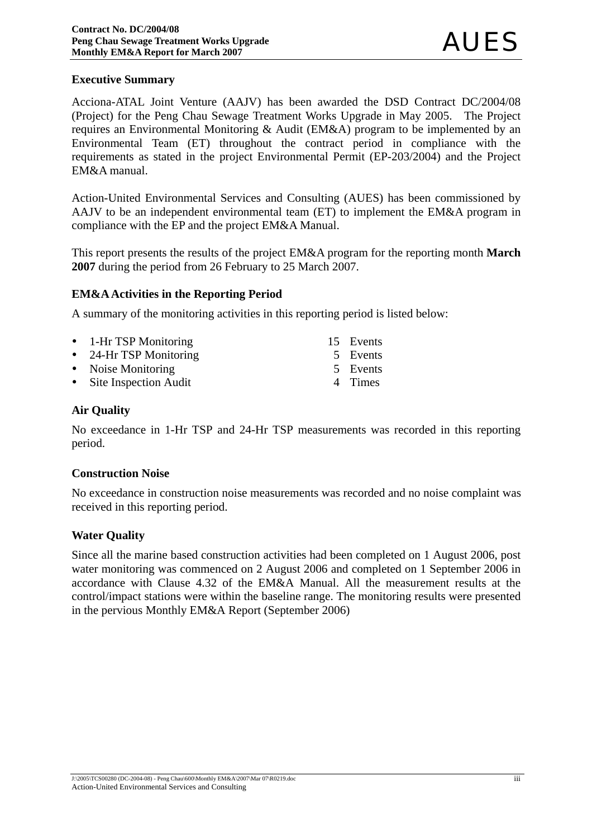## **Executive Summary**

Acciona-ATAL Joint Venture (AAJV) has been awarded the DSD Contract DC/2004/08 (Project) for the Peng Chau Sewage Treatment Works Upgrade in May 2005. The Project requires an Environmental Monitoring & Audit (EM&A) program to be implemented by an Environmental Team (ET) throughout the contract period in compliance with the requirements as stated in the project Environmental Permit (EP-203/2004) and the Project EM&A manual.

Action-United Environmental Services and Consulting (AUES) has been commissioned by AAJV to be an independent environmental team (ET) to implement the EM&A program in compliance with the EP and the project EM&A Manual.

This report presents the results of the project EM&A program for the reporting month **March 2007** during the period from 26 February to 25 March 2007.

### **EM&A Activities in the Reporting Period**

A summary of the monitoring activities in this reporting period is listed below:

| • 1-Hr TSP Monitoring   | 15 Events |
|-------------------------|-----------|
| • 24-Hr TSP Monitoring  | 5 Events  |
| • Noise Monitoring      | 5 Events  |
| • Site Inspection Audit | 4 Times   |

### **Air Quality**

No exceedance in 1-Hr TSP and 24-Hr TSP measurements was recorded in this reporting period.

#### **Construction Noise**

No exceedance in construction noise measurements was recorded and no noise complaint was received in this reporting period.

#### **Water Quality**

Since all the marine based construction activities had been completed on 1 August 2006, post water monitoring was commenced on 2 August 2006 and completed on 1 September 2006 in accordance with Clause 4.32 of the EM&A Manual. All the measurement results at the control/impact stations were within the baseline range. The monitoring results were presented in the pervious Monthly EM&A Report (September 2006)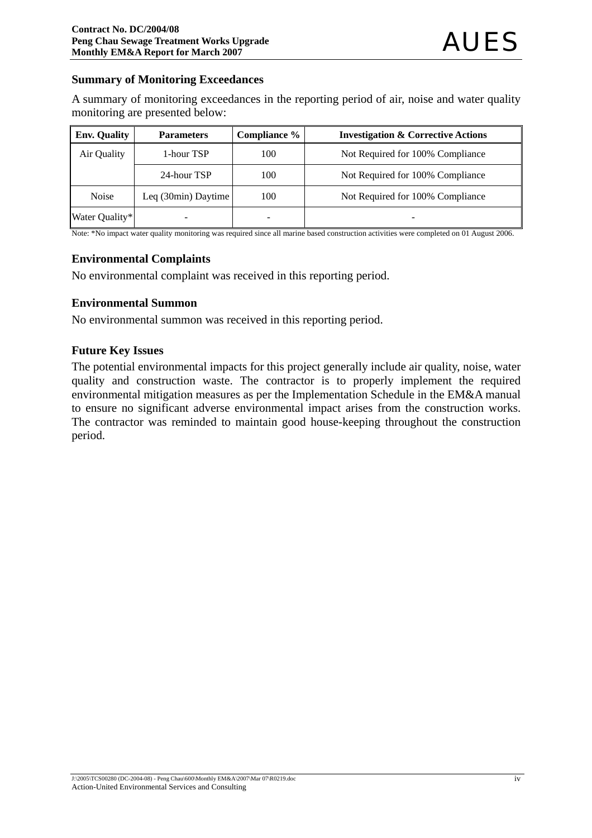### **Summary of Monitoring Exceedances**

A summary of monitoring exceedances in the reporting period of air, noise and water quality monitoring are presented below:

| <b>Env. Quality</b> | <b>Parameters</b>            | Compliance % | <b>Investigation &amp; Corrective Actions</b> |
|---------------------|------------------------------|--------------|-----------------------------------------------|
| Air Quality         | 1-hour TSP                   | 100          | Not Required for 100% Compliance              |
|                     | 24-hour TSP                  | 100          | Not Required for 100% Compliance              |
| <b>Noise</b>        | Leq $(30\text{min})$ Daytime | 100          | Not Required for 100% Compliance              |
| Water Quality*      |                              |              |                                               |

Note: \*No impact water quality monitoring was required since all marine based construction activities were completed on 01 August 2006.

### **Environmental Complaints**

No environmental complaint was received in this reporting period.

## **Environmental Summon**

No environmental summon was received in this reporting period.

### **Future Key Issues**

The potential environmental impacts for this project generally include air quality, noise, water quality and construction waste. The contractor is to properly implement the required environmental mitigation measures as per the Implementation Schedule in the EM&A manual to ensure no significant adverse environmental impact arises from the construction works. The contractor was reminded to maintain good house-keeping throughout the construction period.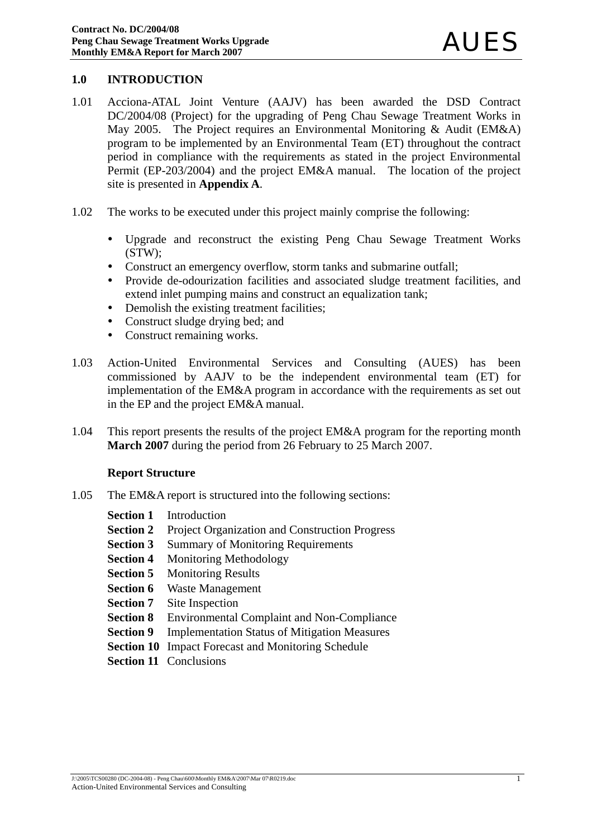## **1.0 INTRODUCTION**

- 1.01 Acciona-ATAL Joint Venture (AAJV) has been awarded the DSD Contract DC/2004/08 (Project) for the upgrading of Peng Chau Sewage Treatment Works in May 2005. The Project requires an Environmental Monitoring & Audit (EM&A) program to be implemented by an Environmental Team (ET) throughout the contract period in compliance with the requirements as stated in the project Environmental Permit (EP-203/2004) and the project EM&A manual. The location of the project site is presented in **Appendix A**.
- 1.02 The works to be executed under this project mainly comprise the following:
	- Upgrade and reconstruct the existing Peng Chau Sewage Treatment Works (STW);
	- Construct an emergency overflow, storm tanks and submarine outfall;
	- Provide de-odourization facilities and associated sludge treatment facilities, and extend inlet pumping mains and construct an equalization tank;
	- Demolish the existing treatment facilities;
	- Construct sludge drying bed; and
	- Construct remaining works.
- 1.03 Action-United Environmental Services and Consulting (AUES) has been commissioned by AAJV to be the independent environmental team (ET) for implementation of the EM&A program in accordance with the requirements as set out in the EP and the project EM&A manual.
- 1.04 This report presents the results of the project EM&A program for the reporting month **March 2007** during the period from 26 February to 25 March 2007.

#### **Report Structure**

- 1.05 The EM&A report is structured into the following sections:
	- **Section 1** Introduction
	- **Section 2** Project Organization and Construction Progress
	- **Section 3** Summary of Monitoring Requirements
	- **Section 4** Monitoring Methodology
	- **Section 5** Monitoring Results
	- **Section 6** Waste Management
	- **Section 7** Site Inspection
	- **Section 8** Environmental Complaint and Non-Compliance
	- **Section 9** Implementation Status of Mitigation Measures
	- **Section 10** Impact Forecast and Monitoring Schedule
	- **Section 11 Conclusions**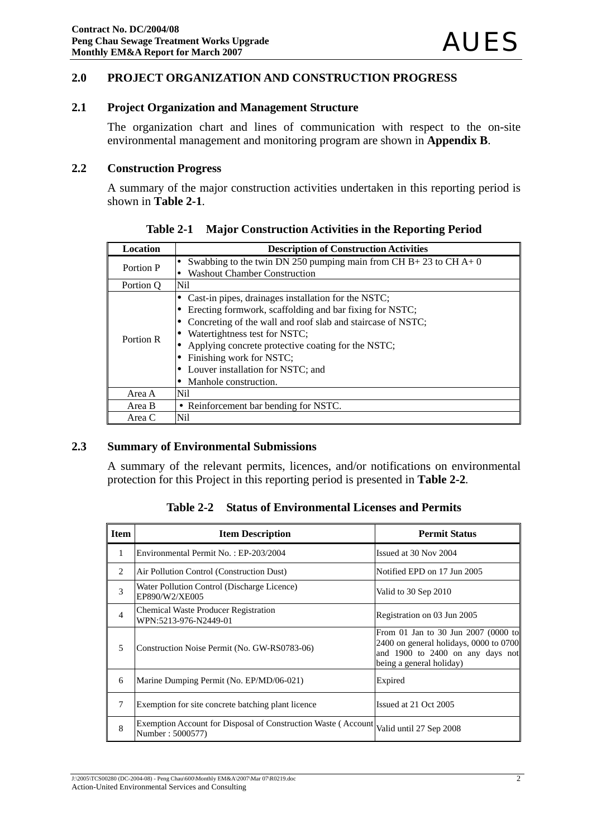## **2.0 PROJECT ORGANIZATION AND CONSTRUCTION PROGRESS**

## **2.1 Project Organization and Management Structure**

The organization chart and lines of communication with respect to the on-site environmental management and monitoring program are shown in **Appendix B**.

#### **2.2 Construction Progress**

A summary of the major construction activities undertaken in this reporting period is shown in **Table 2-1**.

| <b>Location</b> | <b>Description of Construction Activities</b>                                                          |
|-----------------|--------------------------------------------------------------------------------------------------------|
| Portion P       | Swabbing to the twin DN 250 pumping main from CH B+23 to CH A+0<br><b>Washout Chamber Construction</b> |
|                 |                                                                                                        |
| Portion O       | Nil                                                                                                    |
|                 | Cast-in pipes, drainages installation for the NSTC;                                                    |
|                 | Erecting formwork, scaffolding and bar fixing for NSTC;                                                |
|                 | Concreting of the wall and roof slab and staircase of NSTC;                                            |
| Portion R       | Watertightness test for NSTC;                                                                          |
|                 | Applying concrete protective coating for the NSTC;                                                     |
|                 | Finishing work for NSTC;                                                                               |
|                 | Louver installation for NSTC; and                                                                      |
|                 | Manhole construction.                                                                                  |
| Area A          | Nil                                                                                                    |
| Area B          | • Reinforcement bar bending for NSTC.                                                                  |
| Area C          | Nil                                                                                                    |

**Table 2-1 Major Construction Activities in the Reporting Period**

#### **2.3 Summary of Environmental Submissions**

A summary of the relevant permits, licences, and/or notifications on environmental protection for this Project in this reporting period is presented in **Table 2-2***.* 

**Table 2-2 Status of Environmental Licenses and Permits** 

| <b>Item</b>    | <b>Item Description</b>                                                           | <b>Permit Status</b>                                                                                                                            |
|----------------|-----------------------------------------------------------------------------------|-------------------------------------------------------------------------------------------------------------------------------------------------|
| 1              | Environmental Permit No.: EP-203/2004                                             | Issued at 30 Nov 2004                                                                                                                           |
| 2              | Air Pollution Control (Construction Dust)                                         | Notified EPD on 17 Jun 2005                                                                                                                     |
| 3              | Water Pollution Control (Discharge Licence)<br>EP890/W2/XE005                     | Valid to 30 Sep 2010                                                                                                                            |
| $\overline{4}$ | <b>Chemical Waste Producer Registration</b><br>WPN:5213-976-N2449-01              | Registration on 03 Jun 2005                                                                                                                     |
| 5              | Construction Noise Permit (No. GW-RS0783-06)                                      | From 01 Jan to 30 Jun 2007 (0000 to<br>$2400$ on general holidays, 0000 to 0700<br>and 1900 to 2400 on any days not<br>being a general holiday) |
| 6              | Marine Dumping Permit (No. EP/MD/06-021)                                          | Expired                                                                                                                                         |
| 7              | Exemption for site concrete batching plant licence                                | Issued at 21 Oct 2005                                                                                                                           |
| 8              | Exemption Account for Disposal of Construction Waste (Account<br>Number: 5000577) | Valid until 27 Sep 2008                                                                                                                         |

J:\2005\TCS00280 (DC-2004-08) - Peng Chau\600\Monthly EM&A\2007\Mar 07\R0219.doc Action-United Environmental Services and Consulting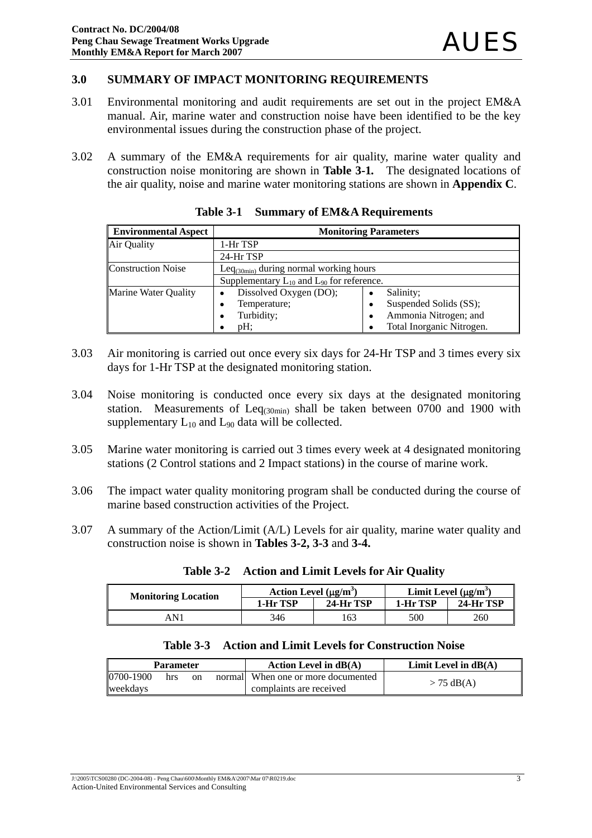#### **3.0 SUMMARY OF IMPACT MONITORING REQUIREMENTS**

- 3.01 Environmental monitoring and audit requirements are set out in the project EM&A manual. Air, marine water and construction noise have been identified to be the key environmental issues during the construction phase of the project.
- 3.02 A summary of the EM&A requirements for air quality, marine water quality and construction noise monitoring are shown in **Table 3-1***.* The designated locations of the air quality, noise and marine water monitoring stations are shown in **Appendix C**.

| <b>Environmental Aspect</b> | <b>Monitoring Parameters</b>                       |                             |  |  |
|-----------------------------|----------------------------------------------------|-----------------------------|--|--|
| Air Quality                 | 1-Hr TSP                                           |                             |  |  |
|                             | 24-Hr TSP                                          |                             |  |  |
| <b>Construction Noise</b>   | Le $q_{(30min)}$ during normal working hours       |                             |  |  |
|                             | Supplementary $L_{10}$ and $L_{90}$ for reference. |                             |  |  |
| <b>Marine Water Quality</b> | Dissolved Oxygen (DO);                             | Salinity;<br>$\bullet$      |  |  |
|                             | Temperature;<br>٠                                  | Suspended Solids (SS);<br>٠ |  |  |
|                             | Turbidity;                                         | Ammonia Nitrogen; and<br>٠  |  |  |
|                             | $pH$ :                                             | Total Inorganic Nitrogen.   |  |  |

**Table 3-1 Summary of EM&A Requirements**

- 3.03 Air monitoring is carried out once every six days for 24-Hr TSP and 3 times every six days for 1-Hr TSP at the designated monitoring station.
- 3.04 Noise monitoring is conducted once every six days at the designated monitoring station. Measurements of  $Leq<sub>(30min)</sub>$  shall be taken between 0700 and 1900 with supplementary  $L_{10}$  and  $L_{90}$  data will be collected.
- 3.05 Marine water monitoring is carried out 3 times every week at 4 designated monitoring stations (2 Control stations and 2 Impact stations) in the course of marine work.
- 3.06 The impact water quality monitoring program shall be conducted during the course of marine based construction activities of the Project.
- 3.07 A summary of the Action/Limit (A/L) Levels for air quality, marine water quality and construction noise is shown in **Tables 3-2, 3-3** and **3-4.**

| <b>Monitoring Location</b> | Action Level $(\mu g/m^3)$ |           | Limit Level $(\mu g/m^3)$ |                  |  |
|----------------------------|----------------------------|-----------|---------------------------|------------------|--|
|                            | 1-Hr TSP                   | 24-Hr TSP | 1-Hr TSP                  | <b>24-Hr TSP</b> |  |
| AN 1                       | 346                        | .63       | 500                       | 260              |  |

**Table 3-2 Action and Limit Levels for Air Quality**

|  | Table 3-3 Action and Limit Levels for Construction Noise |  |  |  |
|--|----------------------------------------------------------|--|--|--|
|--|----------------------------------------------------------|--|--|--|

| <b>Parameter</b> |     |    | Action Level in $dB(A)$            | Limit Level in $dB(A)$ |
|------------------|-----|----|------------------------------------|------------------------|
| 0700-1900        | hrs | on | normal When one or more documented | $> 75$ dB(A)           |
| weekdavs         |     |    | complaints are received            |                        |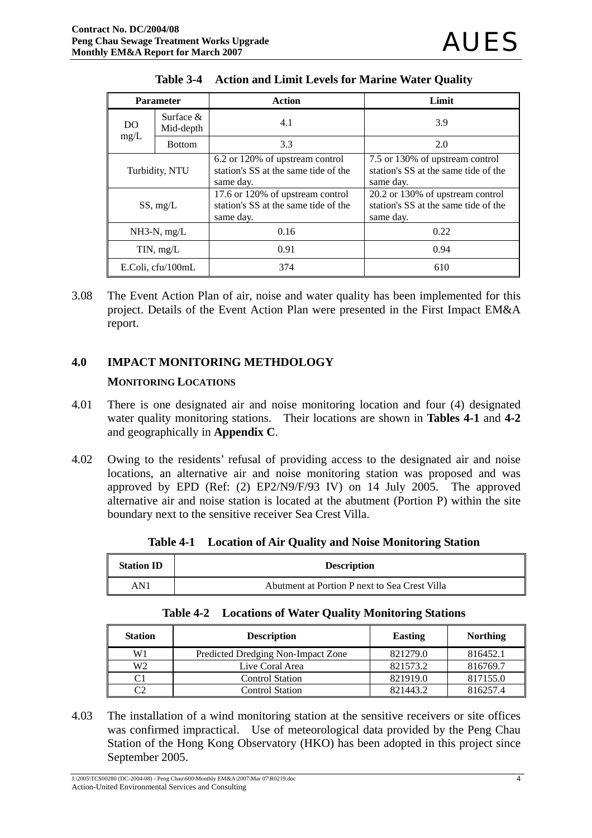| <b>Parameter</b>               |               | <b>Action</b><br>Limit                                                                |                                                                                       |  |
|--------------------------------|---------------|---------------------------------------------------------------------------------------|---------------------------------------------------------------------------------------|--|
| Surface $&$<br>DO<br>Mid-depth |               | 4.1                                                                                   | 3.9                                                                                   |  |
| mg/L                           | <b>Bottom</b> | 3.3                                                                                   | 2.0                                                                                   |  |
| Turbidity, NTU                 |               | 6.2 or 120% of upstream control<br>station's SS at the same tide of the<br>same day.  | 7.5 or 130% of upstream control<br>station's SS at the same tide of the<br>same day.  |  |
| SS, mg/L                       |               | 17.6 or 120% of upstream control<br>station's SS at the same tide of the<br>same day. | 20.2 or 130% of upstream control<br>station's SS at the same tide of the<br>same day. |  |
| $NH3-N$ , mg/L                 |               | 0.16                                                                                  | 0.22                                                                                  |  |
| TIN, mg/L                      |               | 0.91                                                                                  | 0.94                                                                                  |  |
| E.Coli, cfu/100mL              |               | 374                                                                                   | 610                                                                                   |  |

|  | Table 3-4 Action and Limit Levels for Marine Water Quality |  |  |
|--|------------------------------------------------------------|--|--|
|--|------------------------------------------------------------|--|--|

3.08 The Event Action Plan of air, noise and water quality has been implemented for this project. Details of the Event Action Plan were presented in the First Impact EM&A report.

## **4.0 IMPACT MONITORING METHDOLOGY**

### **MONITORING LOCATIONS**

- 4.01 There is one designated air and noise monitoring location and four (4) designated water quality monitoring stations. Their locations are shown in **Tables 4-1** and **4-2** and geographically in **Appendix C**.
- 4.02 Owing to the residents' refusal of providing access to the designated air and noise locations, an alternative air and noise monitoring station was proposed and was approved by EPD (Ref: (2) EP2/N9/F/93 IV) on 14 July 2005. The approved alternative air and noise station is located at the abutment (Portion P) within the site boundary next to the sensitive receiver Sea Crest Villa.

| <b>Station ID</b> | <b>Description</b>                            |
|-------------------|-----------------------------------------------|
| AN1               | Abutment at Portion P next to Sea Crest Villa |

**Table 4-1 Location of Air Quality and Noise Monitoring Station** 

|  |  | <b>Table 4-2</b> Locations of Water Quality Monitoring Stations |
|--|--|-----------------------------------------------------------------|
|--|--|-----------------------------------------------------------------|

| <b>Station</b> | <b>Description</b>                 | <b>Easting</b> | <b>Northing</b> |
|----------------|------------------------------------|----------------|-----------------|
| W1             | Predicted Dredging Non-Impact Zone | 821279.0       | 816452.1        |
| W <sub>2</sub> | Live Coral Area                    | 821573.2       | 816769.7        |
| C1             | <b>Control Station</b>             | 821919.0       | 817155.0        |
| C2             | Control Station                    | 821443.2       | 816257.4        |

4.03 The installation of a wind monitoring station at the sensitive receivers or site offices was confirmed impractical. Use of meteorological data provided by the Peng Chau Station of the Hong Kong Observatory (HKO) has been adopted in this project since September 2005.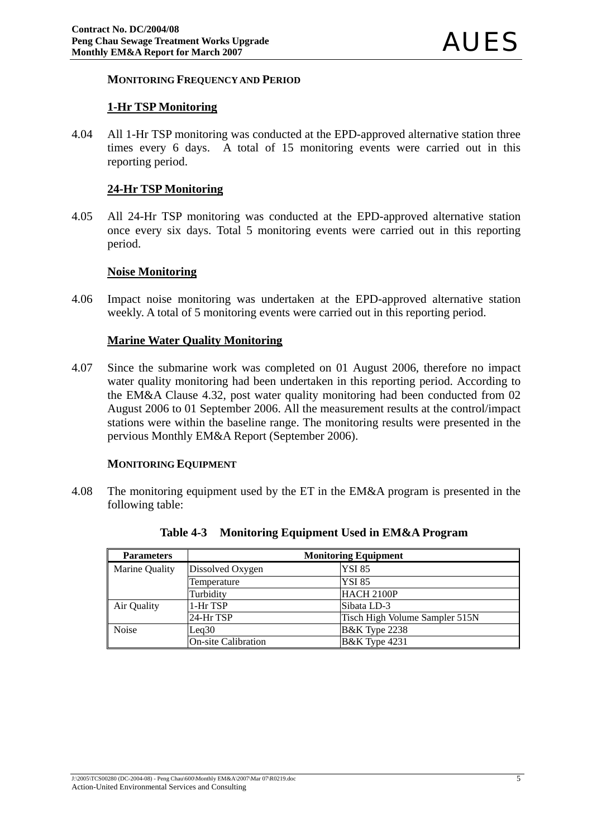#### **MONITORING FREQUENCY AND PERIOD**

#### **1-Hr TSP Monitoring**

4.04 All 1-Hr TSP monitoring was conducted at the EPD-approved alternative station three times every 6 days. A total of 15 monitoring events were carried out in this reporting period.

#### **24-Hr TSP Monitoring**

4.05 All 24-Hr TSP monitoring was conducted at the EPD-approved alternative station once every six days. Total 5 monitoring events were carried out in this reporting period.

#### **Noise Monitoring**

4.06 Impact noise monitoring was undertaken at the EPD-approved alternative station weekly. A total of 5 monitoring events were carried out in this reporting period.

#### **Marine Water Quality Monitoring**

4.07 Since the submarine work was completed on 01 August 2006, therefore no impact water quality monitoring had been undertaken in this reporting period. According to the EM&A Clause 4.32, post water quality monitoring had been conducted from 02 August 2006 to 01 September 2006. All the measurement results at the control/impact stations were within the baseline range. The monitoring results were presented in the pervious Monthly EM&A Report (September 2006).

#### **MONITORING EQUIPMENT**

4.08 The monitoring equipment used by the ET in the EM&A program is presented in the following table:

| <b>Parameters</b> |                            | <b>Monitoring Equipment</b>    |
|-------------------|----------------------------|--------------------------------|
| Marine Quality    | Dissolved Oxygen           | <b>YSI 85</b>                  |
|                   | Temperature                | <b>YSI 85</b>                  |
|                   | Turbidity                  | HACH 2100P                     |
| Air Quality       | 1-Hr TSP                   | Sibata LD-3                    |
|                   | 24-Hr TSP                  | Tisch High Volume Sampler 515N |
| Noise             | Leq30                      | <b>B&amp;K</b> Type 2238       |
|                   | <b>On-site Calibration</b> | <b>B&amp;K</b> Type 4231       |

**Table 4-3 Monitoring Equipment Used in EM&A Program**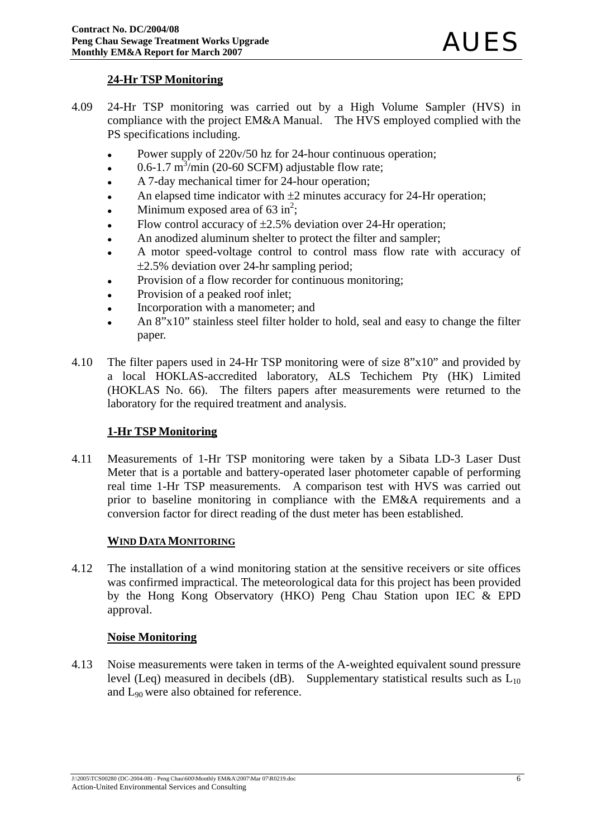## **24-Hr TSP Monitoring**

- 4.09 24-Hr TSP monitoring was carried out by a High Volume Sampler (HVS) in compliance with the project EM&A Manual. The HVS employed complied with the PS specifications including.
	- Power supply of 220v/50 hz for 24-hour continuous operation;
	- $\cdot$  0.6-1.7 m<sup>3</sup>/min (20-60 SCFM) adjustable flow rate;
	- A 7-day mechanical timer for 24-hour operation;
	- An elapsed time indicator with  $\pm 2$  minutes accuracy for 24-Hr operation;
	- Minimum exposed area of  $63 \text{ in}^2$ ;
	- Flow control accuracy of  $\pm 2.5\%$  deviation over 24-Hr operation;
	- An anodized aluminum shelter to protect the filter and sampler;
	- A motor speed-voltage control to control mass flow rate with accuracy of ±2.5% deviation over 24-hr sampling period;
	- Provision of a flow recorder for continuous monitoring;
	- Provision of a peaked roof inlet;
	- Incorporation with a manometer; and
	- An 8"x10" stainless steel filter holder to hold, seal and easy to change the filter paper.
- 4.10 The filter papers used in 24-Hr TSP monitoring were of size 8"x10" and provided by a local HOKLAS-accredited laboratory, ALS Techichem Pty (HK) Limited (HOKLAS No. 66). The filters papers after measurements were returned to the laboratory for the required treatment and analysis.

## **1-Hr TSP Monitoring**

4.11 Measurements of 1-Hr TSP monitoring were taken by a Sibata LD-3 Laser Dust Meter that is a portable and battery-operated laser photometer capable of performing real time 1-Hr TSP measurements. A comparison test with HVS was carried out prior to baseline monitoring in compliance with the EM&A requirements and a conversion factor for direct reading of the dust meter has been established.

## **WIND DATA MONITORING**

4.12 The installation of a wind monitoring station at the sensitive receivers or site offices was confirmed impractical. The meteorological data for this project has been provided by the Hong Kong Observatory (HKO) Peng Chau Station upon IEC & EPD approval.

## **Noise Monitoring**

4.13 Noise measurements were taken in terms of the A-weighted equivalent sound pressure level (Leq) measured in decibels (dB). Supplementary statistical results such as  $L_{10}$ and L90 were also obtained for reference.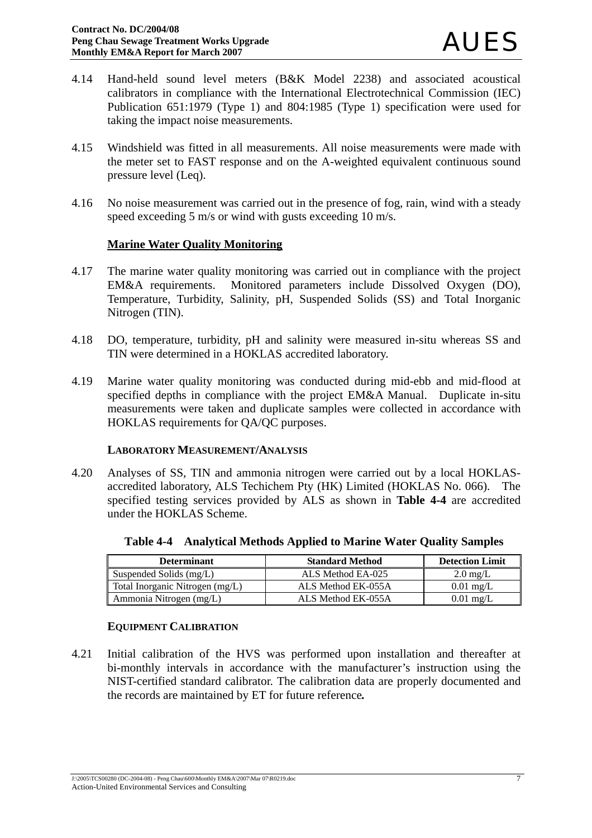- 4.14 Hand-held sound level meters (B&K Model 2238) and associated acoustical calibrators in compliance with the International Electrotechnical Commission (IEC) Publication 651:1979 (Type 1) and 804:1985 (Type 1) specification were used for taking the impact noise measurements.
- 4.15 Windshield was fitted in all measurements. All noise measurements were made with the meter set to FAST response and on the A-weighted equivalent continuous sound pressure level (Leq).
- 4.16 No noise measurement was carried out in the presence of fog, rain, wind with a steady speed exceeding 5 m/s or wind with gusts exceeding 10 m/s.

### **Marine Water Quality Monitoring**

- 4.17 The marine water quality monitoring was carried out in compliance with the project EM&A requirements. Monitored parameters include Dissolved Oxygen (DO), Temperature, Turbidity, Salinity, pH, Suspended Solids (SS) and Total Inorganic Nitrogen (TIN).
- 4.18 DO, temperature, turbidity, pH and salinity were measured in-situ whereas SS and TIN were determined in a HOKLAS accredited laboratory.
- 4.19 Marine water quality monitoring was conducted during mid-ebb and mid-flood at specified depths in compliance with the project EM&A Manual. Duplicate in-situ measurements were taken and duplicate samples were collected in accordance with HOKLAS requirements for QA/QC purposes.

#### **LABORATORY MEASUREMENT/ANALYSIS**

4.20 Analyses of SS, TIN and ammonia nitrogen were carried out by a local HOKLASaccredited laboratory, ALS Techichem Pty (HK) Limited (HOKLAS No. 066). The specified testing services provided by ALS as shown in **Table 4-4** are accredited under the HOKLAS Scheme.

| <b>Determinant</b>              | <b>Standard Method</b> | <b>Detection Limit</b> |
|---------------------------------|------------------------|------------------------|
| Suspended Solids (mg/L)         | ALS Method EA-025      | $2.0 \text{ mg/L}$     |
| Total Inorganic Nitrogen (mg/L) | ALS Method EK-055A     | $0.01 \text{ mg/L}$    |
| Ammonia Nitrogen (mg/L)         | ALS Method EK-055A     | $0.01$ mg/L            |

**Table 4-4 Analytical Methods Applied to Marine Water Quality Samples**

## **EQUIPMENT CALIBRATION**

4.21 Initial calibration of the HVS was performed upon installation and thereafter at bi-monthly intervals in accordance with the manufacturer's instruction using the NIST-certified standard calibrator. The calibration data are properly documented and the records are maintained by ET for future reference*.*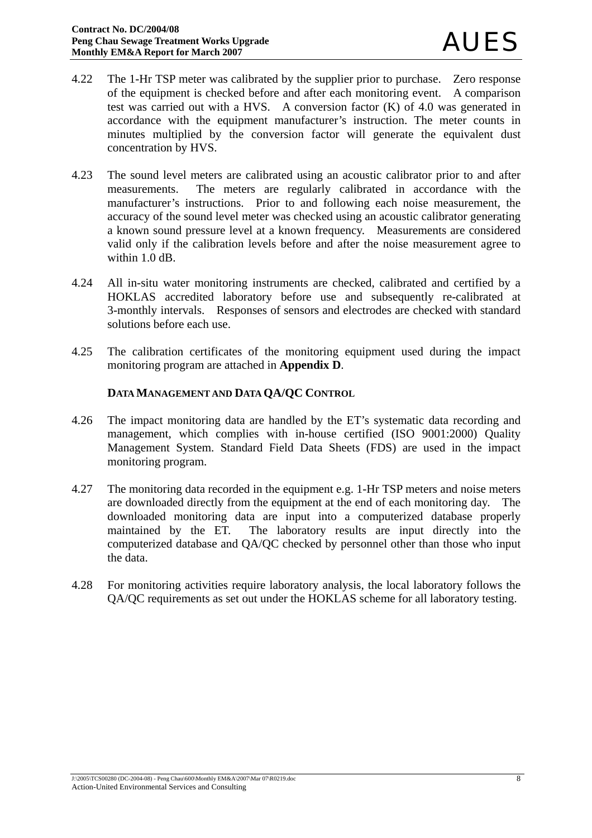- 4.22 The 1-Hr TSP meter was calibrated by the supplier prior to purchase. Zero response of the equipment is checked before and after each monitoring event. A comparison test was carried out with a HVS. A conversion factor (K) of 4.0 was generated in accordance with the equipment manufacturer's instruction. The meter counts in minutes multiplied by the conversion factor will generate the equivalent dust concentration by HVS.
- 4.23 The sound level meters are calibrated using an acoustic calibrator prior to and after measurements. The meters are regularly calibrated in accordance with the manufacturer's instructions. Prior to and following each noise measurement, the accuracy of the sound level meter was checked using an acoustic calibrator generating a known sound pressure level at a known frequency. Measurements are considered valid only if the calibration levels before and after the noise measurement agree to within 1.0 dB.
- 4.24 All in-situ water monitoring instruments are checked, calibrated and certified by a HOKLAS accredited laboratory before use and subsequently re-calibrated at 3-monthly intervals. Responses of sensors and electrodes are checked with standard solutions before each use.
- 4.25 The calibration certificates of the monitoring equipment used during the impact monitoring program are attached in **Appendix D**.

## **DATA MANAGEMENT AND DATA QA/QC CONTROL**

- 4.26 The impact monitoring data are handled by the ET's systematic data recording and management, which complies with in-house certified (ISO 9001:2000) Quality Management System. Standard Field Data Sheets (FDS) are used in the impact monitoring program.
- 4.27 The monitoring data recorded in the equipment e.g. 1-Hr TSP meters and noise meters are downloaded directly from the equipment at the end of each monitoring day. The downloaded monitoring data are input into a computerized database properly maintained by the ET. The laboratory results are input directly into the computerized database and QA/QC checked by personnel other than those who input the data.
- 4.28 For monitoring activities require laboratory analysis, the local laboratory follows the QA/QC requirements as set out under the HOKLAS scheme for all laboratory testing.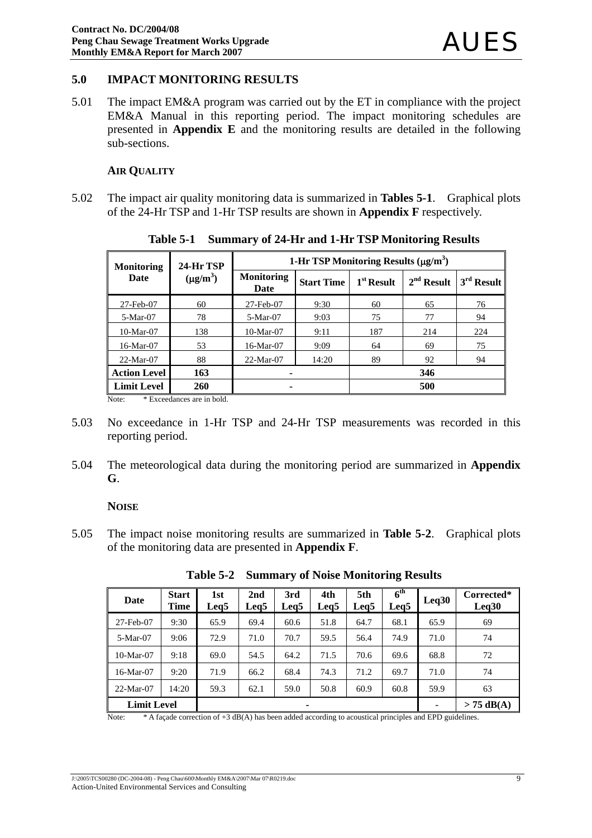## **5.0 IMPACT MONITORING RESULTS**

5.01 The impact EM&A program was carried out by the ET in compliance with the project EM&A Manual in this reporting period. The impact monitoring schedules are presented in **Appendix E** and the monitoring results are detailed in the following sub-sections.

#### **AIR QUALITY**

5.02 The impact air quality monitoring data is summarized in **Tables 5-1**. Graphical plots of the 24-Hr TSP and 1-Hr TSP results are shown in **Appendix F** respectively.

| <b>Monitoring</b>   | 24-Hr TSP     | 1-Hr TSP Monitoring Results $(\mu g/m^3)$ |                   |              |              |                        |
|---------------------|---------------|-------------------------------------------|-------------------|--------------|--------------|------------------------|
| Date                | $(\mu g/m^3)$ | <b>Monitoring</b><br>Date                 | <b>Start Time</b> | $1st$ Result | $2nd$ Result | $3^{\text{rd}}$ Result |
| 27-Feb-07           | 60            | 27-Feb-07                                 | 9:30              | 60           | 65           | 76                     |
| 5-Mar-07            | 78            | 5-Mar-07                                  | 9:03              | 75           | 77           | 94                     |
| $10-Mar-07$         | 138           | $10-Mar-07$                               | 9:11              | 187          | 214          | 224                    |
| 16-Mar-07           | 53            | 16-Mar-07                                 | 9:09              | 64           | 69           | 75                     |
| $22-Mar-07$         | 88            | 22-Mar-07                                 | 14:20             | 89           | 92           | 94                     |
| <b>Action Level</b> | 163           | ۰                                         |                   |              | 346          |                        |
| <b>Limit Level</b>  | 260           | ۰                                         |                   |              | 500          |                        |

**Table 5-1 Summary of 24-Hr and 1-Hr TSP Monitoring Results** 

Note: \* Exceedances are in bold.

- 5.03 No exceedance in 1-Hr TSP and 24-Hr TSP measurements was recorded in this reporting period.
- 5.04 The meteorological data during the monitoring period are summarized in **Appendix G**.

#### **NOISE**

5.05 The impact noise monitoring results are summarized in **Table 5-2**. Graphical plots of the monitoring data are presented in **Appendix F**.

| Date               | <b>Start</b><br>Time | 1st<br>Leg <sub>5</sub> | 2nd<br>Leg <sub>5</sub> | 3rd<br>Leg <sub>5</sub> | 4th<br>Leg <sub>5</sub> | 5th<br>Leg5 | $\overline{6}^{\text{th}}$<br>Leq5 | Leq30        | Corrected*<br>Leq30 |
|--------------------|----------------------|-------------------------|-------------------------|-------------------------|-------------------------|-------------|------------------------------------|--------------|---------------------|
| 27-Feb-07          | 9:30                 | 65.9                    | 69.4                    | 60.6                    | 51.8                    | 64.7        | 68.1                               | 65.9         | 69                  |
| 5-Mar-07           | 9:06                 | 72.9                    | 71.0                    | 70.7                    | 59.5                    | 56.4        | 74.9                               | 71.0         | 74                  |
| $10-Mar-07$        | 9:18                 | 69.0                    | 54.5                    | 64.2                    | 71.5                    | 70.6        | 69.6                               | 68.8         | 72                  |
| 16-Mar-07          | 9:20                 | 71.9                    | 66.2                    | 68.4                    | 74.3                    | 71.2        | 69.7                               | 71.0         | 74                  |
| 22-Mar-07          | 14:20                | 59.3                    | 62.1                    | 59.0                    | 50.8                    | 60.9        | 60.8                               | 59.9         | 63                  |
| <b>Limit Level</b> |                      | ۰                       |                         |                         |                         |             | -                                  | $> 75$ dB(A) |                     |

**Table 5-2 Summary of Noise Monitoring Results** 

Note: \* A façade correction of +3 dB(A) has been added according to acoustical principles and EPD guidelines.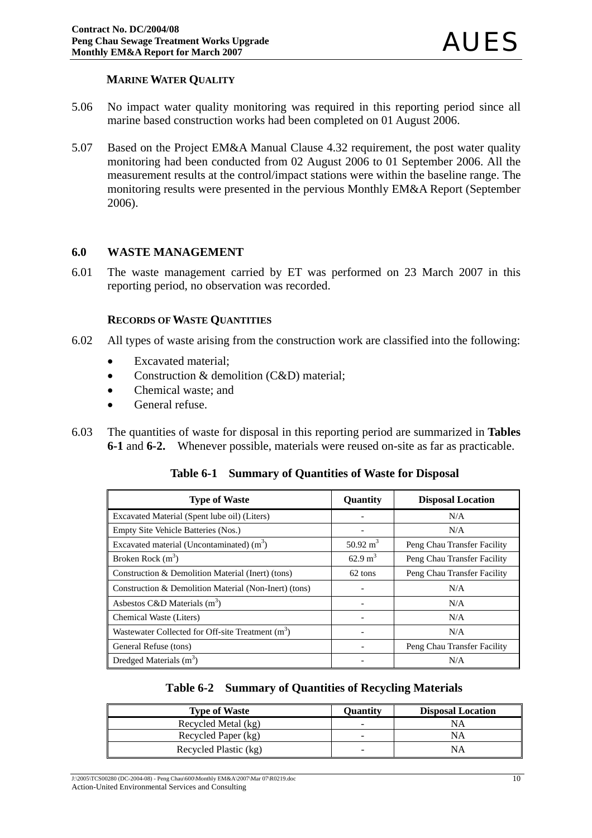## **MARINE WATER QUALITY**

- 5.06 No impact water quality monitoring was required in this reporting period since all marine based construction works had been completed on 01 August 2006.
- 5.07 Based on the Project EM&A Manual Clause 4.32 requirement, the post water quality monitoring had been conducted from 02 August 2006 to 01 September 2006. All the measurement results at the control/impact stations were within the baseline range. The monitoring results were presented in the pervious Monthly EM&A Report (September 2006).

#### **6.0 WASTE MANAGEMENT**

6.01 The waste management carried by ET was performed on 23 March 2007 in this reporting period, no observation was recorded.

#### **RECORDS OF WASTE QUANTITIES**

- 6.02 All types of waste arising from the construction work are classified into the following:
	- Excavated material;
	- Construction & demolition (C&D) material;
	- Chemical waste: and
	- General refuse.
- 6.03 The quantities of waste for disposal in this reporting period are summarized in **Tables 6-1** and **6-2.**Whenever possible, materials were reused on-site as far as practicable.

|  |  | Table 6-1 Summary of Quantities of Waste for Disposal |  |  |
|--|--|-------------------------------------------------------|--|--|
|--|--|-------------------------------------------------------|--|--|

| <b>Type of Waste</b>                                  | Quantity            | <b>Disposal Location</b>    |
|-------------------------------------------------------|---------------------|-----------------------------|
| Excavated Material (Spent lube oil) (Liters)          |                     | N/A                         |
| Empty Site Vehicle Batteries (Nos.)                   |                     | N/A                         |
| Excavated material (Uncontaminated) $(m3)$            | $50.92 \text{ m}^3$ | Peng Chau Transfer Facility |
| Broken Rock $(m^3)$                                   | $62.9 \text{ m}^3$  | Peng Chau Transfer Facility |
| Construction & Demolition Material (Inert) (tons)     | 62 tons             | Peng Chau Transfer Facility |
| Construction & Demolition Material (Non-Inert) (tons) |                     | N/A                         |
| Asbestos C&D Materials $(m3)$                         |                     | N/A                         |
| Chemical Waste (Liters)                               |                     | N/A                         |
| Wastewater Collected for Off-site Treatment $(m3)$    |                     | N/A                         |
| General Refuse (tons)                                 |                     | Peng Chau Transfer Facility |
| Dredged Materials $(m3)$                              |                     | N/A                         |

| Table 6-2 Summary of Quantities of Recycling Materials |  |  |  |  |  |  |  |  |
|--------------------------------------------------------|--|--|--|--|--|--|--|--|
|--------------------------------------------------------|--|--|--|--|--|--|--|--|

| <b>Type of Waste</b>  | Ouantitv                 | <b>Disposal Location</b> |
|-----------------------|--------------------------|--------------------------|
| Recycled Metal (kg)   | -                        |                          |
| Recycled Paper (kg)   | $\overline{\phantom{a}}$ | NА                       |
| Recycled Plastic (kg) |                          | NΑ                       |

J:\2005\TCS00280 (DC-2004-08) - Peng Chau\600\Monthly EM&A\2007\Mar 07\R0219.doc Action-United Environmental Services and Consulting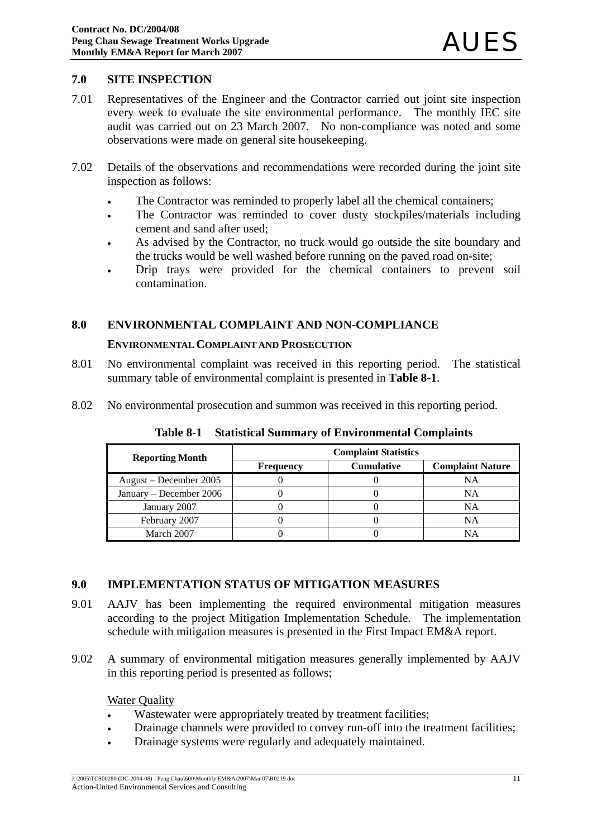#### **7.0 SITE INSPECTION**

- 7.01 Representatives of the Engineer and the Contractor carried out joint site inspection every week to evaluate the site environmental performance. The monthly IEC site audit was carried out on 23 March 2007. No non-compliance was noted and some observations were made on general site housekeeping.
- 7.02 Details of the observations and recommendations were recorded during the joint site inspection as follows:
	- The Contractor was reminded to properly label all the chemical containers;
	- The Contractor was reminded to cover dusty stockpiles/materials including cement and sand after used;
	- As advised by the Contractor, no truck would go outside the site boundary and the trucks would be well washed before running on the paved road on-site;
	- Drip trays were provided for the chemical containers to prevent soil contamination.

### **8.0 ENVIRONMENTAL COMPLAINT AND NON-COMPLIANCE**

#### **ENVIRONMENTAL COMPLAINT AND PROSECUTION**

- 8.01 No environmental complaint was received in this reporting period. The statistical summary table of environmental complaint is presented in **Table 8-1**.
- 8.02 No environmental prosecution and summon was received in this reporting period.

| <b>Reporting Month</b>  |                  | <b>Complaint Statistics</b> |                         |
|-------------------------|------------------|-----------------------------|-------------------------|
|                         | <b>Frequency</b> | <b>Cumulative</b>           | <b>Complaint Nature</b> |
| August – December 2005  |                  |                             | NA                      |
| January – December 2006 |                  |                             | NA                      |
| January 2007            |                  |                             | NA                      |
| February 2007           |                  |                             | <b>NA</b>               |
| March 2007              |                  |                             | <b>NA</b>               |

**Table 8-1 Statistical Summary of Environmental Complaints**

#### **9.0 IMPLEMENTATION STATUS OF MITIGATION MEASURES**

- 9.01 AAJV has been implementing the required environmental mitigation measures according to the project Mitigation Implementation Schedule. The implementation schedule with mitigation measures is presented in the First Impact EM&A report.
- 9.02 A summary of environmental mitigation measures generally implemented by AAJV in this reporting period is presented as follows;

#### Water Quality

- Wastewater were appropriately treated by treatment facilities;
- Drainage channels were provided to convey run-off into the treatment facilities;
- Drainage systems were regularly and adequately maintained.

J:\2005\TCS00280 (DC-2004-08) - Peng Chau\600\Monthly EM&A\2007\Mar 07\R0219.doc Action-United Environmental Services and Consulting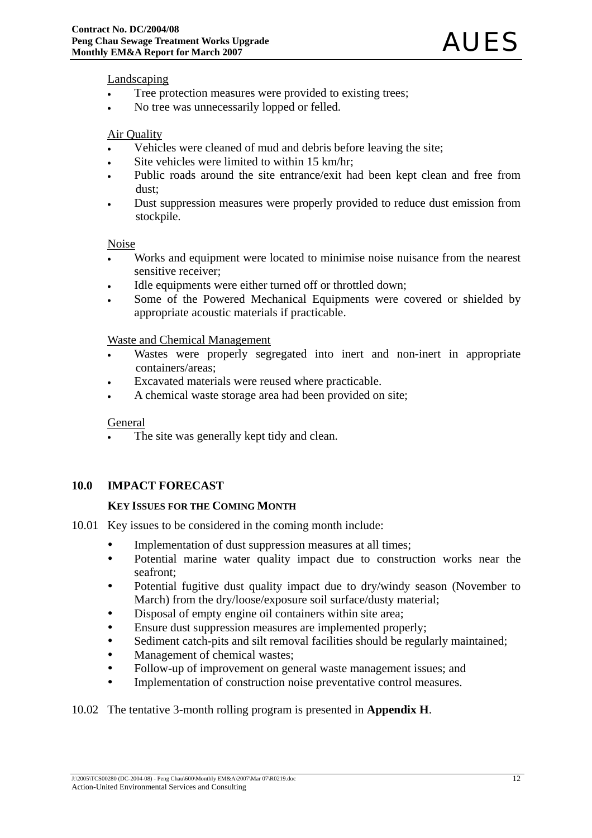#### Landscaping

- Tree protection measures were provided to existing trees;
- No tree was unnecessarily lopped or felled.

#### Air Quality

- Vehicles were cleaned of mud and debris before leaving the site:
- Site vehicles were limited to within 15 km/hr;
- Public roads around the site entrance/exit had been kept clean and free from dust;
- Dust suppression measures were properly provided to reduce dust emission from stockpile.

#### Noise

- Works and equipment were located to minimise noise nuisance from the nearest sensitive receiver;
- Idle equipments were either turned off or throttled down;
- Some of the Powered Mechanical Equipments were covered or shielded by appropriate acoustic materials if practicable.

#### Waste and Chemical Management

- Wastes were properly segregated into inert and non-inert in appropriate containers/areas;
- Excavated materials were reused where practicable.
- A chemical waste storage area had been provided on site;

#### General

The site was generally kept tidy and clean.

#### **10.0 IMPACT FORECAST**

#### **KEY ISSUES FOR THE COMING MONTH**

- 10.01 Key issues to be considered in the coming month include:
	- Implementation of dust suppression measures at all times;
	- Potential marine water quality impact due to construction works near the seafront;
	- Potential fugitive dust quality impact due to dry/windy season (November to March) from the dry/loose/exposure soil surface/dusty material;
	- Disposal of empty engine oil containers within site area;
	- Ensure dust suppression measures are implemented properly;
	- Sediment catch-pits and silt removal facilities should be regularly maintained;
	- Management of chemical wastes;
	- Follow-up of improvement on general waste management issues; and
	- Implementation of construction noise preventative control measures.

#### 10.02 The tentative 3-month rolling program is presented in **Appendix H**.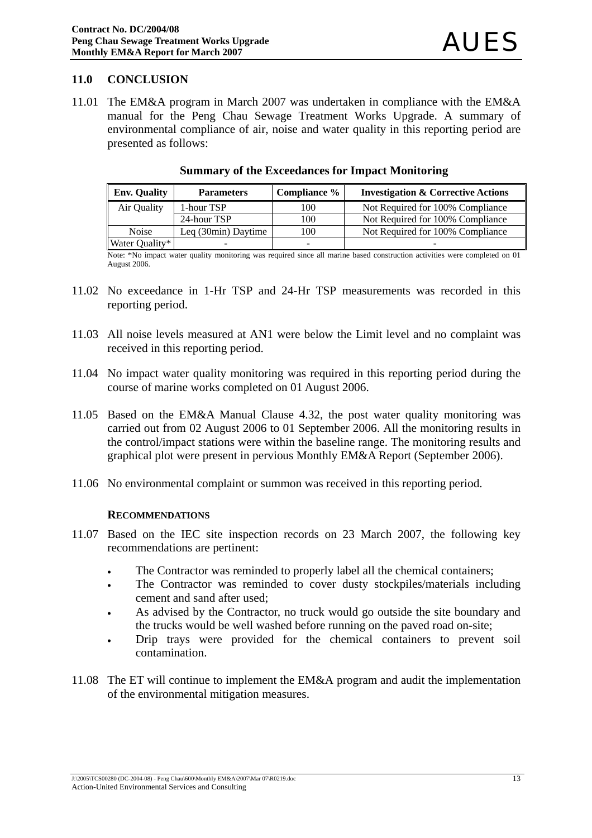## **11.0 CONCLUSION**

11.01 The EM&A program in March 2007 was undertaken in compliance with the EM&A manual for the Peng Chau Sewage Treatment Works Upgrade. A summary of environmental compliance of air, noise and water quality in this reporting period are presented as follows:

| <b>Env. Quality</b> | <b>Parameters</b>   | Compliance % | <b>Investigation &amp; Corrective Actions</b> |
|---------------------|---------------------|--------------|-----------------------------------------------|
| Air Quality         | 1-hour TSP          | 100          | Not Required for 100% Compliance              |
|                     | 24-hour TSP         | 100          | Not Required for 100% Compliance              |
| <b>Noise</b>        | Leg (30min) Daytime | 100          | Not Required for 100% Compliance              |
| Water Quality*      |                     |              |                                               |

#### **Summary of the Exceedances for Impact Monitoring**

Note: \*No impact water quality monitoring was required since all marine based construction activities were completed on 01 August 2006.

- 11.02 No exceedance in 1-Hr TSP and 24-Hr TSP measurements was recorded in this reporting period.
- 11.03 All noise levels measured at AN1 were below the Limit level and no complaint was received in this reporting period.
- 11.04 No impact water quality monitoring was required in this reporting period during the course of marine works completed on 01 August 2006.
- 11.05 Based on the EM&A Manual Clause 4.32, the post water quality monitoring was carried out from 02 August 2006 to 01 September 2006. All the monitoring results in the control/impact stations were within the baseline range. The monitoring results and graphical plot were present in pervious Monthly EM&A Report (September 2006).
- 11.06 No environmental complaint or summon was received in this reporting period.

#### **RECOMMENDATIONS**

- 11.07 Based on the IEC site inspection records on 23 March 2007, the following key recommendations are pertinent:
	- The Contractor was reminded to properly label all the chemical containers;
	- The Contractor was reminded to cover dusty stockpiles/materials including cement and sand after used;
	- As advised by the Contractor, no truck would go outside the site boundary and the trucks would be well washed before running on the paved road on-site;
	- Drip trays were provided for the chemical containers to prevent soil contamination.
- 11.08 The ET will continue to implement the EM&A program and audit the implementation of the environmental mitigation measures.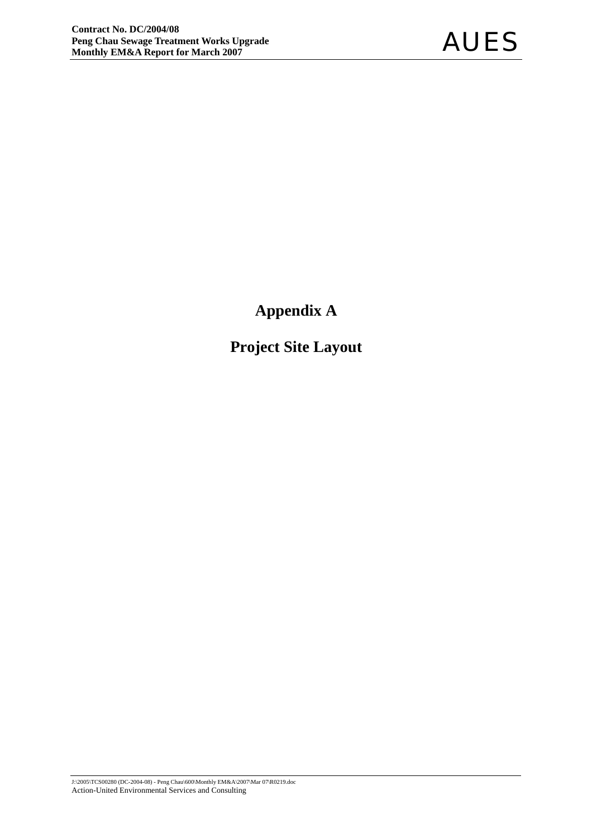**Appendix A** 

**Project Site Layout**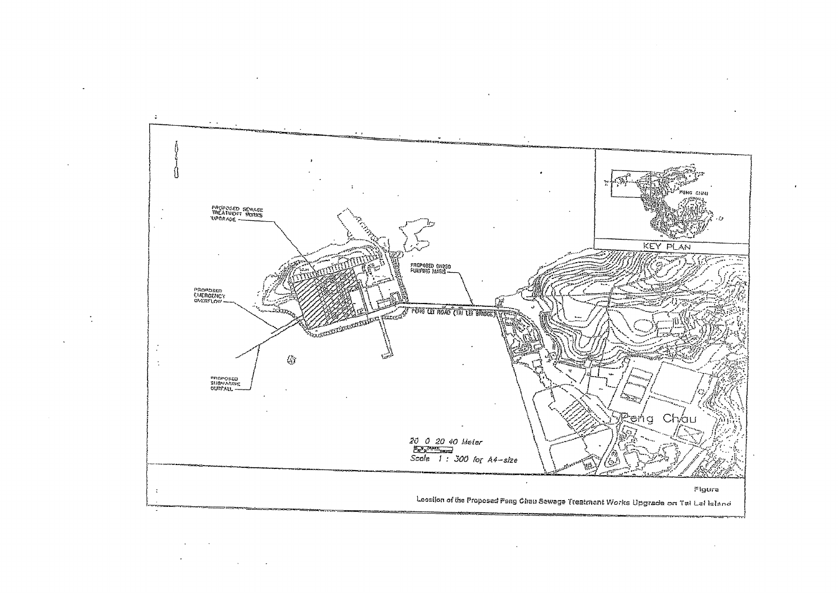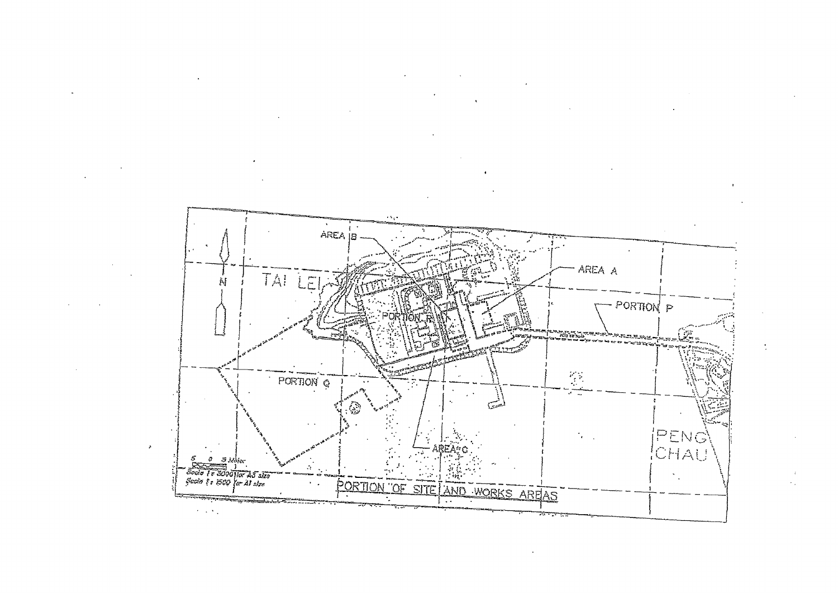



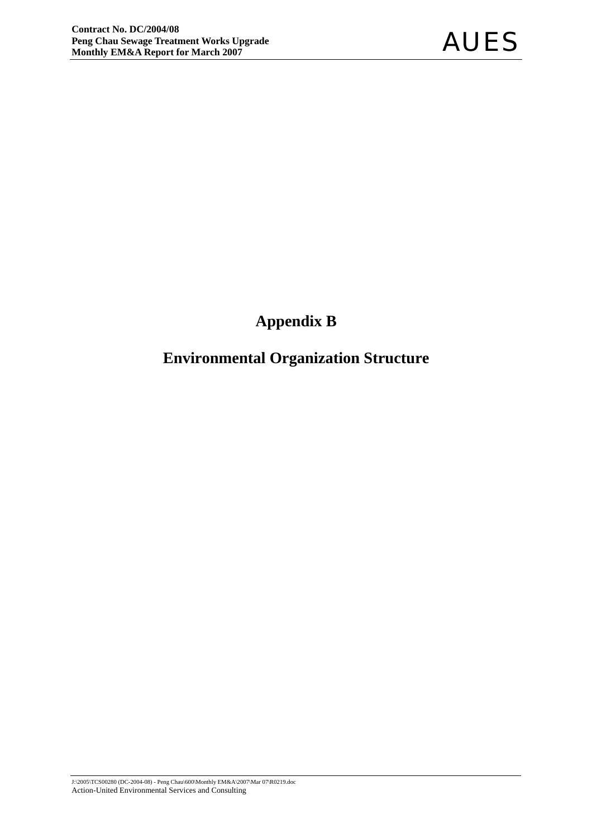# **Appendix B**

# **Environmental Organization Structure**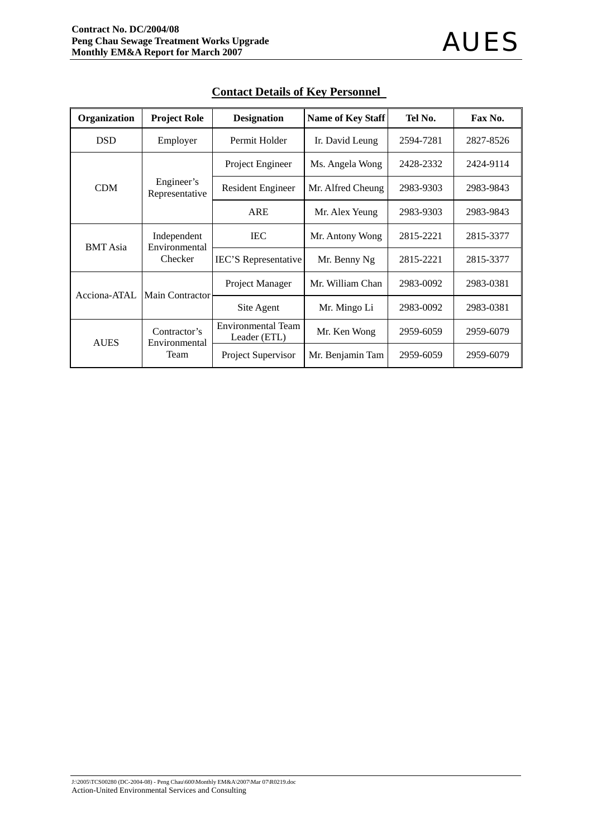| Organization    | <b>Project Role</b>           | <b>Designation</b>                        | <b>Name of Key Staff</b> | Tel No.   | Fax No.   |
|-----------------|-------------------------------|-------------------------------------------|--------------------------|-----------|-----------|
| <b>DSD</b>      | Employer                      | Permit Holder                             | Ir. David Leung          | 2594-7281 | 2827-8526 |
| <b>CDM</b>      |                               | Project Engineer                          | Ms. Angela Wong          | 2428-2332 | 2424-9114 |
|                 | Engineer's<br>Representative  | Resident Engineer                         | Mr. Alfred Cheung        | 2983-9303 | 2983-9843 |
|                 |                               | <b>ARE</b>                                | Mr. Alex Yeung           | 2983-9303 | 2983-9843 |
| <b>BMT</b> Asia | Independent                   | <b>IEC</b>                                | Mr. Antony Wong          | 2815-2221 | 2815-3377 |
|                 | Environmental<br>Checker      | <b>IEC'S</b> Representative               | Mr. Benny Ng             | 2815-2221 | 2815-3377 |
| Acciona-ATAL    | <b>Main Contractor</b>        | Project Manager                           | Mr. William Chan         | 2983-0092 | 2983-0381 |
|                 |                               | Site Agent                                | Mr. Mingo Li             | 2983-0092 | 2983-0381 |
| <b>AUES</b>     | Contractor's<br>Environmental | <b>Environmental Team</b><br>Leader (ETL) | Mr. Ken Wong             | 2959-6059 | 2959-6079 |
|                 | Team                          | Project Supervisor                        | Mr. Benjamin Tam         | 2959-6059 | 2959-6079 |

## **Contact Details of Key Personnel**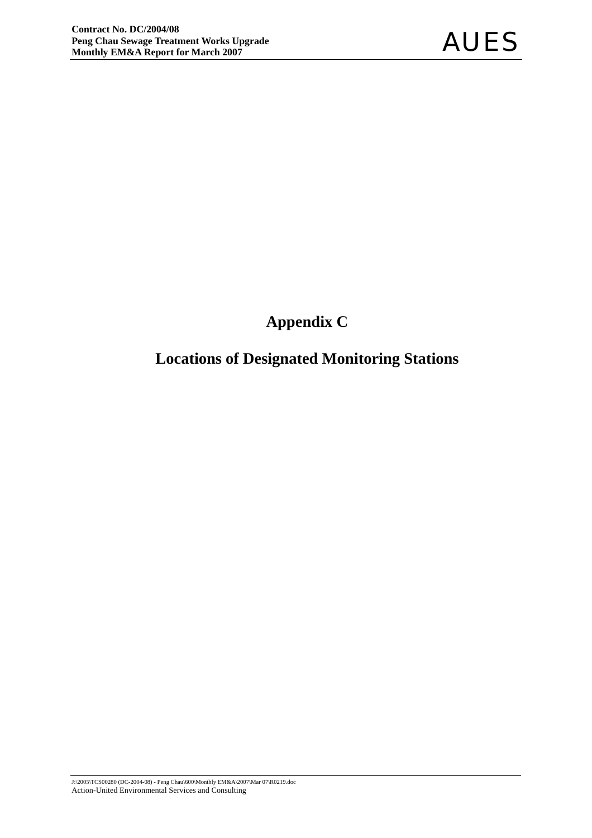# **Appendix C**

# **Locations of Designated Monitoring Stations**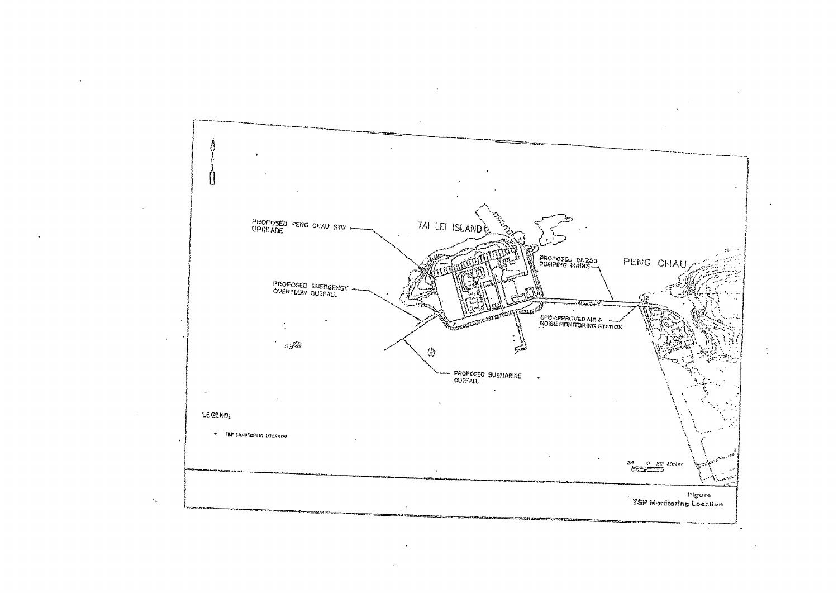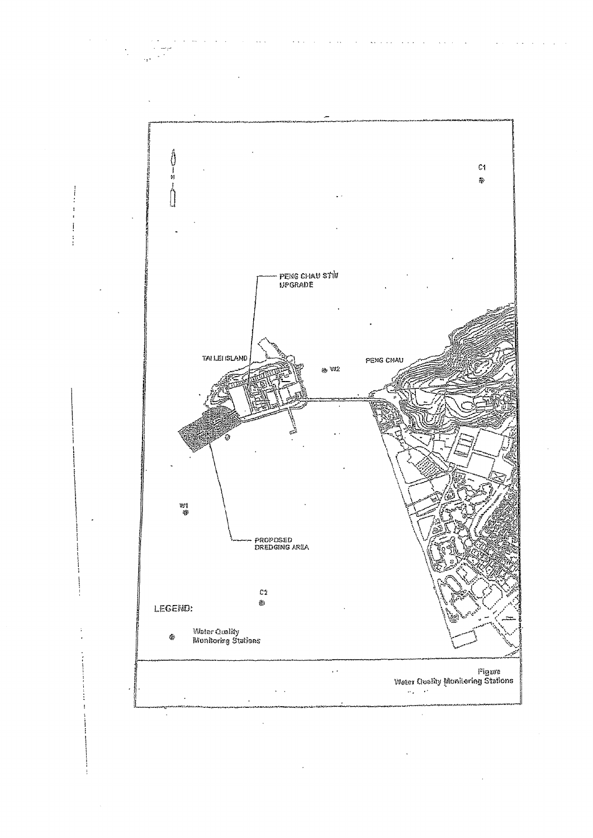

 $\ddot{\phantom{a}}$ 

 $\ddot{\phantom{a}}$ 

 $\sim 10$  .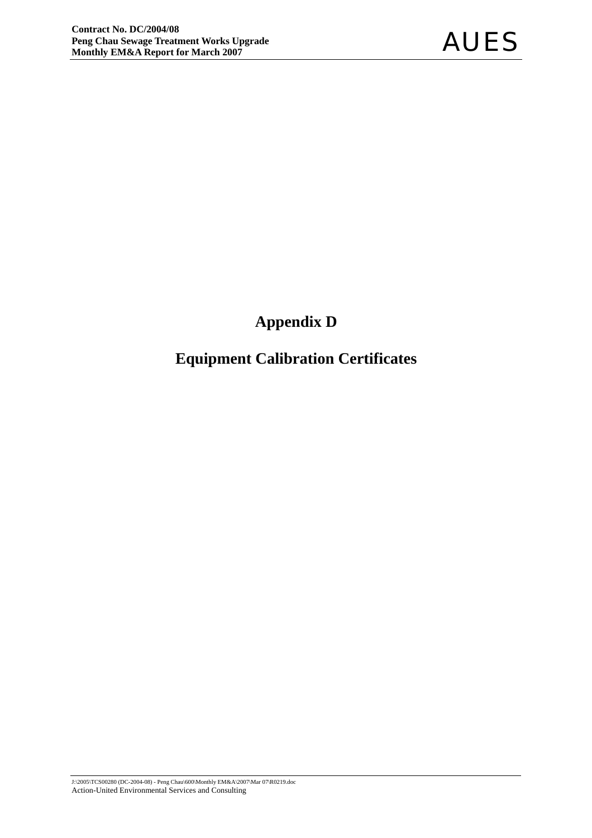# **Appendix D**

# **Equipment Calibration Certificates**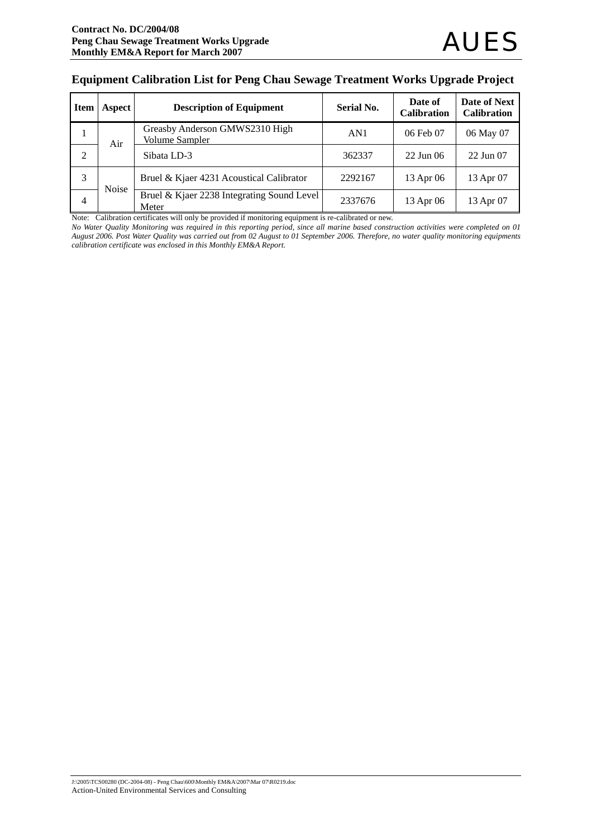#### **Equipment Calibration List for Peng Chau Sewage Treatment Works Upgrade Project**

| <b>Item</b>    | Aspect       | <b>Description of Equipment</b>                         | <b>Serial No.</b> | Date of<br><b>Calibration</b> | Date of Next<br><b>Calibration</b> |
|----------------|--------------|---------------------------------------------------------|-------------------|-------------------------------|------------------------------------|
| 1              | Air          | Greasby Anderson GMWS2310 High<br><b>Volume Sampler</b> | AN1               | 06 Feb 07                     | 06 May 07                          |
| $\overline{2}$ |              | Sibata LD-3                                             | 362337            | $22$ Jun 06                   | 22 Jun 07                          |
| 3              | <b>Noise</b> | Bruel & Kjaer 4231 Acoustical Calibrator                | 2292167           | 13 Apr 06                     | 13 Apr 07                          |
| 4              |              | Bruel & Kjaer 2238 Integrating Sound Level<br>Meter     | 2337676           | 13 Apr 06                     | 13 Apr 07                          |

Note: Calibration certificates will only be provided if monitoring equipment is re-calibrated or new.

*No Water Quality Monitoring was required in this reporting period, since all marine based construction activities were completed on 01 August 2006. Post Water Quality was carried out from 02 August to 01 September 2006. Therefore, no water quality monitoring equipments calibration certificate was enclosed in this Monthly EM&A Report.*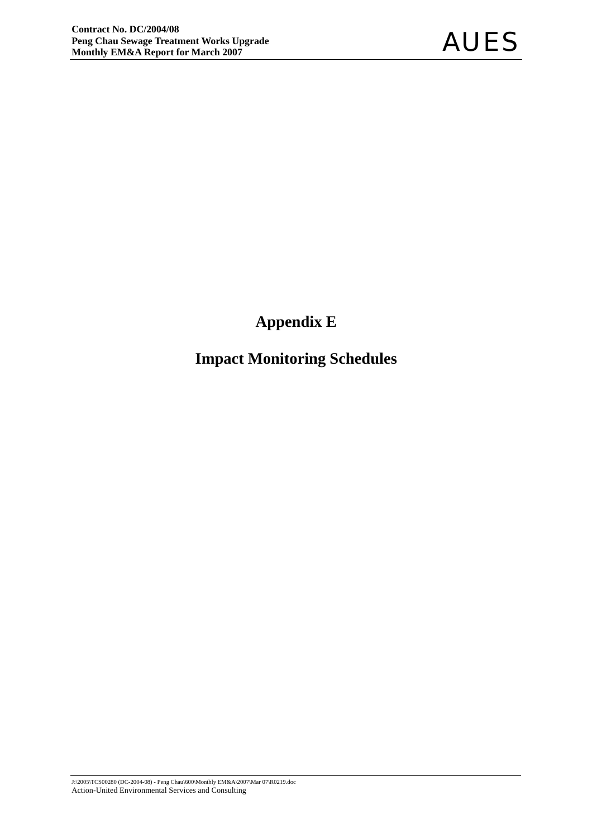# **Appendix E**

# **Impact Monitoring Schedules**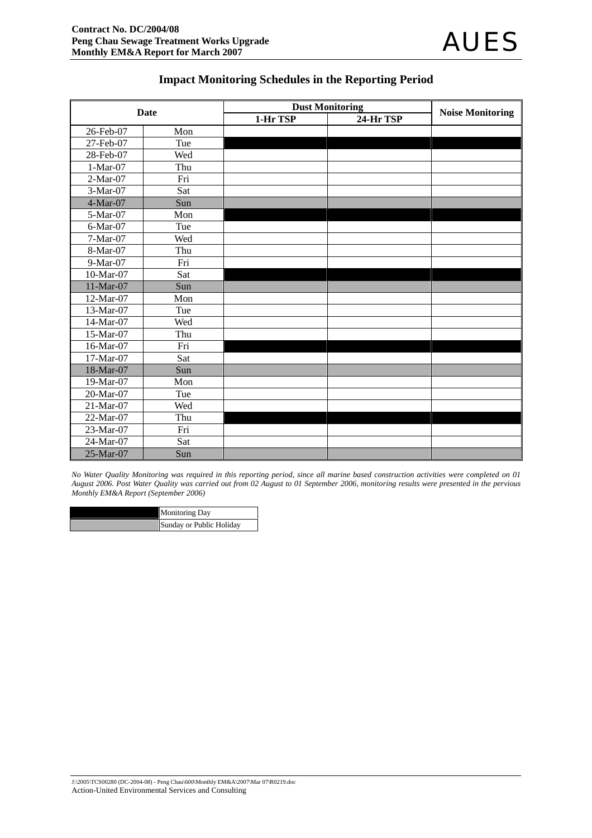## **Impact Monitoring Schedules in the Reporting Period**

|            | <b>Date</b> |          | <b>Dust Monitoring</b> | <b>Noise Monitoring</b> |
|------------|-------------|----------|------------------------|-------------------------|
|            |             | 1-Hr TSP | 24-Hr TSP              |                         |
| 26-Feb-07  | Mon         |          |                        |                         |
| 27-Feb-07  | Tue         |          |                        |                         |
| 28-Feb-07  | Wed         |          |                        |                         |
| $1-Mar-07$ | Thu         |          |                        |                         |
| $2-Mar-07$ | Fri         |          |                        |                         |
| 3-Mar-07   | Sat         |          |                        |                         |
| 4-Mar-07   | Sun         |          |                        |                         |
| 5-Mar-07   | Mon         |          |                        |                         |
| 6-Mar-07   | Tue         |          |                        |                         |
| 7-Mar-07   | Wed         |          |                        |                         |
| 8-Mar-07   | Thu         |          |                        |                         |
| 9-Mar-07   | Fri         |          |                        |                         |
| 10-Mar-07  | Sat         |          |                        |                         |
| 11-Mar-07  | Sun         |          |                        |                         |
| 12-Mar-07  | Mon         |          |                        |                         |
| 13-Mar-07  | Tue         |          |                        |                         |
| 14-Mar-07  | Wed         |          |                        |                         |
| 15-Mar-07  | Thu         |          |                        |                         |
| 16-Mar-07  | Fri         |          |                        |                         |
| 17-Mar-07  | Sat         |          |                        |                         |
| 18-Mar-07  | Sun         |          |                        |                         |
| 19-Mar-07  | Mon         |          |                        |                         |
| 20-Mar-07  | Tue         |          |                        |                         |
| 21-Mar-07  | Wed         |          |                        |                         |
| 22-Mar-07  | Thu         |          |                        |                         |
| 23-Mar-07  | Fri         |          |                        |                         |
| 24-Mar-07  | Sat         |          |                        |                         |
| 25-Mar-07  | Sun         |          |                        |                         |

*No Water Quality Monitoring was required in this reporting period, since all marine based construction activities were completed on 01 August 2006. Post Water Quality was carried out from 02 August to 01 September 2006, monitoring results were presented in the pervious Monthly EM&A Report (September 2006)* 

| <b>Monitoring Day</b>    |
|--------------------------|
| Sunday or Public Holiday |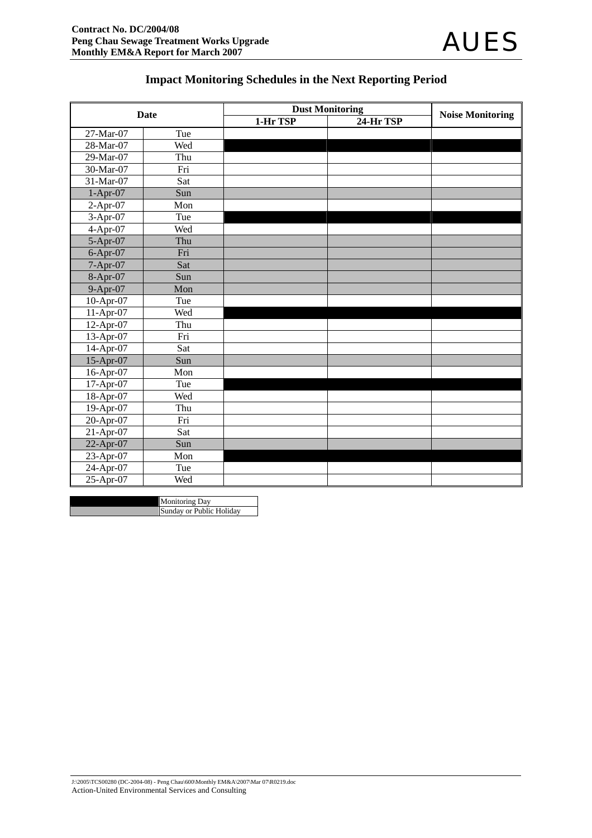# **Impact Monitoring Schedules in the Next Reporting Period**

|              | <b>Date</b> | <b>Dust Monitoring</b> | <b>Noise Monitoring</b> |  |
|--------------|-------------|------------------------|-------------------------|--|
|              |             | 1-Hr TSP               | 24-Hr TSP               |  |
| 27-Mar-07    | Tue         |                        |                         |  |
| 28-Mar-07    | Wed         |                        |                         |  |
| 29-Mar-07    | Thu         |                        |                         |  |
| 30-Mar-07    | Fri         |                        |                         |  |
| 31-Mar-07    | Sat         |                        |                         |  |
| $1-Apr-07$   | Sun         |                        |                         |  |
| $2-Apr-07$   | Mon         |                        |                         |  |
| $3-Apr-07$   | Tue         |                        |                         |  |
| $4-Apr-07$   | Wed         |                        |                         |  |
| 5-Apr-07     | Thu         |                        |                         |  |
| $6-Apr-07$   | Fri         |                        |                         |  |
| 7-Apr-07     | Sat         |                        |                         |  |
| 8-Apr-07     | Sun         |                        |                         |  |
| 9-Apr-07     | Mon         |                        |                         |  |
| 10-Apr-07    | Tue         |                        |                         |  |
| 11-Apr-07    | Wed         |                        |                         |  |
| 12-Apr-07    | Thu         |                        |                         |  |
| 13-Apr-07    | Fri         |                        |                         |  |
| 14-Apr-07    | Sat         |                        |                         |  |
| 15-Apr-07    | Sun         |                        |                         |  |
| 16-Apr-07    | Mon         |                        |                         |  |
| 17-Apr-07    | Tue         |                        |                         |  |
| $18$ -Apr-07 | Wed         |                        |                         |  |
| 19-Apr-07    | Thu         |                        |                         |  |
| 20-Apr-07    | Fri         |                        |                         |  |
| 21-Apr-07    | Sat         |                        |                         |  |
| 22-Apr-07    | Sun         |                        |                         |  |
| 23-Apr-07    | Mon         |                        |                         |  |
| 24-Apr-07    | Tue         |                        |                         |  |
| 25-Apr-07    | Wed         |                        |                         |  |

Monitoring Day Sunday or Public Holiday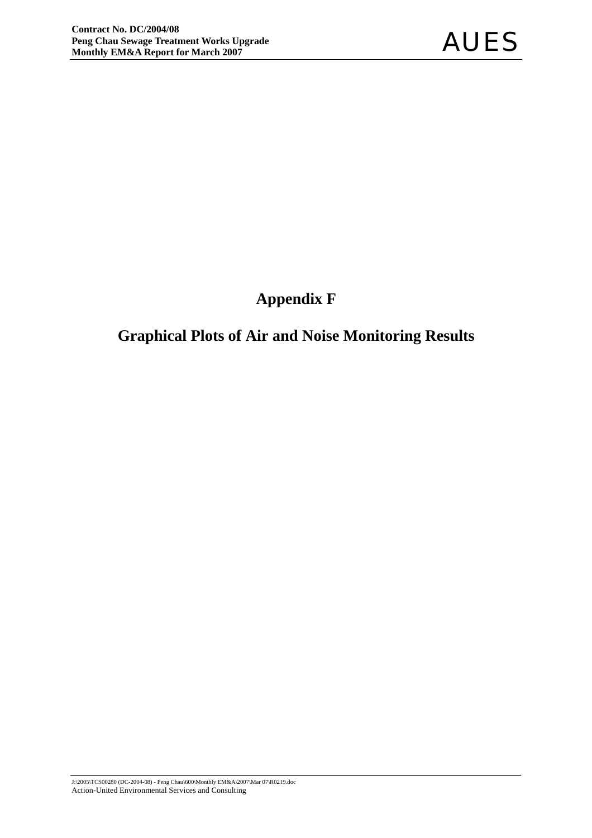# **Appendix F**

# **Graphical Plots of Air and Noise Monitoring Results**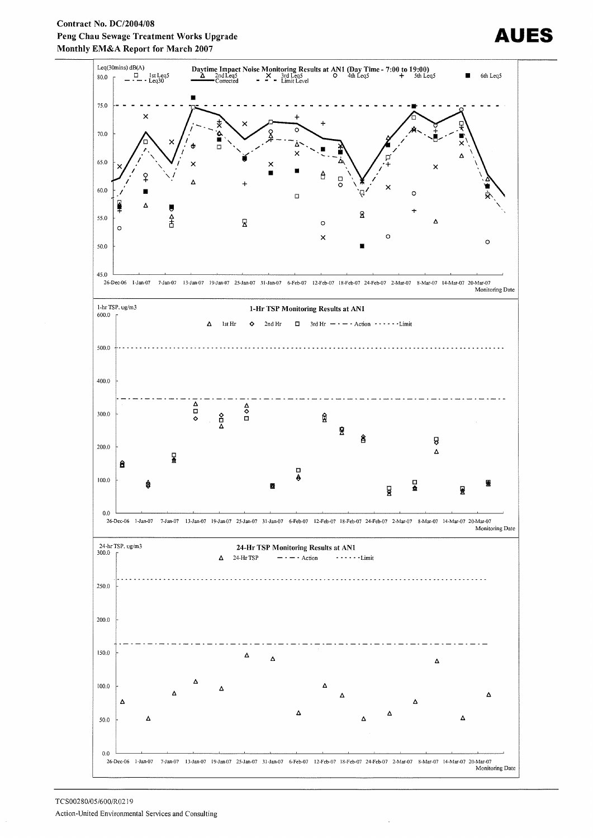



# IES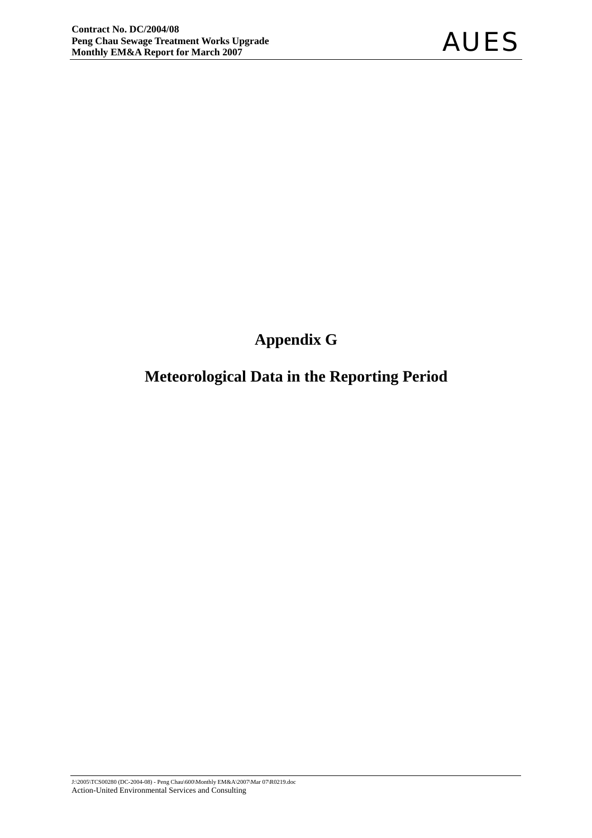# **Appendix G**

# **Meteorological Data in the Reporting Period**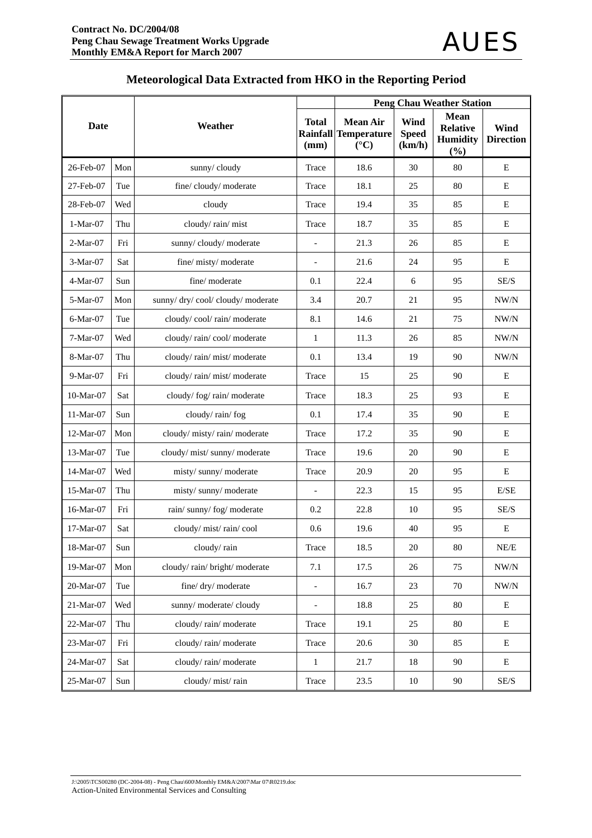|             |     |                                | <b>Peng Chau Weather Station</b> |                                                                         |                                |                                                          |                          |  |  |
|-------------|-----|--------------------------------|----------------------------------|-------------------------------------------------------------------------|--------------------------------|----------------------------------------------------------|--------------------------|--|--|
| Date        |     | Weather                        | <b>Total</b><br>(mm)             | <b>Mean Air</b><br><b>Rainfall Temperature</b><br>$({}^{\circ}{\rm C})$ | Wind<br><b>Speed</b><br>(km/h) | <b>Mean</b><br><b>Relative</b><br><b>Humidity</b><br>(%) | Wind<br><b>Direction</b> |  |  |
| 26-Feb-07   | Mon | sunny/cloudy                   | Trace                            | 18.6                                                                    | 30                             | 80                                                       | E                        |  |  |
| 27-Feb-07   | Tue | fine/cloudy/moderate           | Trace                            | 18.1                                                                    | 25                             | 80                                                       | E                        |  |  |
| 28-Feb-07   | Wed | cloudy                         | Trace                            | 19.4                                                                    | 35                             | 85                                                       | E                        |  |  |
| $1-Mar-07$  | Thu | cloudy/rain/mist               | Trace                            | 18.7                                                                    | 35                             | 85                                                       | E                        |  |  |
| 2-Mar-07    | Fri | sunny/cloudy/moderate          | $\overline{a}$                   | 21.3                                                                    | 26                             | 85                                                       | E                        |  |  |
| 3-Mar-07    | Sat | fine/misty/moderate            | $\blacksquare$                   | 21.6                                                                    | 24                             | 95                                                       | E                        |  |  |
| 4-Mar-07    | Sun | fine/moderate                  | 0.1                              | 22.4                                                                    | 6                              | 95                                                       | SE/S                     |  |  |
| 5-Mar-07    | Mon | sunny/dry/cool/cloudy/moderate | 3.4                              | 20.7                                                                    | 21                             | 95                                                       | NW/N                     |  |  |
| 6-Mar-07    | Tue | cloudy/cool/rain/moderate      | 8.1                              | 14.6                                                                    | 21                             | 75                                                       | NW/N                     |  |  |
| $7-Mar-07$  | Wed | cloudy/rain/cool/moderate      | $\mathbf{1}$                     | 11.3                                                                    | 26                             | 85                                                       | NW/N                     |  |  |
| 8-Mar-07    | Thu | cloudy/rain/mist/moderate      | 0.1                              | 13.4                                                                    | 19                             | 90                                                       | NW/N                     |  |  |
| 9-Mar-07    | Fri | cloudy/rain/mist/moderate      | Trace                            | 15                                                                      | 25                             | 90                                                       | Ε                        |  |  |
| 10-Mar-07   | Sat | cloudy/fog/rain/moderate       | Trace                            | 18.3                                                                    | 25                             | 93                                                       | E                        |  |  |
| 11-Mar-07   | Sun | cloudy/rain/fog                | 0.1                              | 17.4                                                                    | 35                             | 90                                                       | E                        |  |  |
| 12-Mar-07   | Mon | cloudy/misty/rain/moderate     | Trace                            | 17.2                                                                    | 35                             | 90                                                       | E                        |  |  |
| 13-Mar-07   | Tue | cloudy/mist/sunny/moderate     | Trace                            | 19.6                                                                    | 20                             | 90                                                       | E                        |  |  |
| 14-Mar-07   | Wed | misty/sunny/moderate           | Trace                            | 20.9                                                                    | 20                             | 95                                                       | E                        |  |  |
| 15-Mar-07   | Thu | misty/sunny/moderate           | $\overline{a}$                   | 22.3                                                                    | 15                             | 95                                                       | E/SE                     |  |  |
| 16-Mar-07   | Fri | rain/sunny/fog/moderate        | 0.2                              | 22.8                                                                    | 10                             | 95                                                       | SE/S                     |  |  |
| $17-Mar-07$ | Sat | cloudy/mist/rain/cool          | 0.6                              | 19.6                                                                    | 40                             | 95                                                       | Ε                        |  |  |
| 18-Mar-07   | Sun | cloudy/rain                    | Trace                            | 18.5                                                                    | 20                             | $80\,$                                                   | $\rm NE/E$               |  |  |
| 19-Mar-07   | Mon | cloudy/rain/bright/moderate    | 7.1                              | 17.5                                                                    | 26                             | 75                                                       | NW/N                     |  |  |
| 20-Mar-07   | Tue | fine/dry/moderate              | $\qquad \qquad -$                | 16.7                                                                    | 23                             | 70                                                       | $\text{NW/N}$            |  |  |
| 21-Mar-07   | Wed | sunny/moderate/cloudy          | $\overline{a}$                   | 18.8                                                                    | 25                             | $80\,$                                                   | ${\bf E}$                |  |  |
| 22-Mar-07   | Thu | cloudy/rain/moderate           | Trace                            | 19.1                                                                    | 25                             | 80                                                       | E                        |  |  |
| 23-Mar-07   | Fri | cloudy/rain/moderate           | Trace                            | 20.6                                                                    | 30                             | 85                                                       | E                        |  |  |
| 24-Mar-07   | Sat | cloudy/rain/moderate           | $\mathbf{1}$                     | 21.7                                                                    | 18                             | 90                                                       | Е                        |  |  |
| 25-Mar-07   | Sun | cloudy/mist/rain               | Trace                            | 23.5                                                                    | $10\,$                         | $90\,$                                                   | $\mathrm{SE}/\mathrm{S}$ |  |  |

# **Meteorological Data Extracted from HKO in the Reporting Period**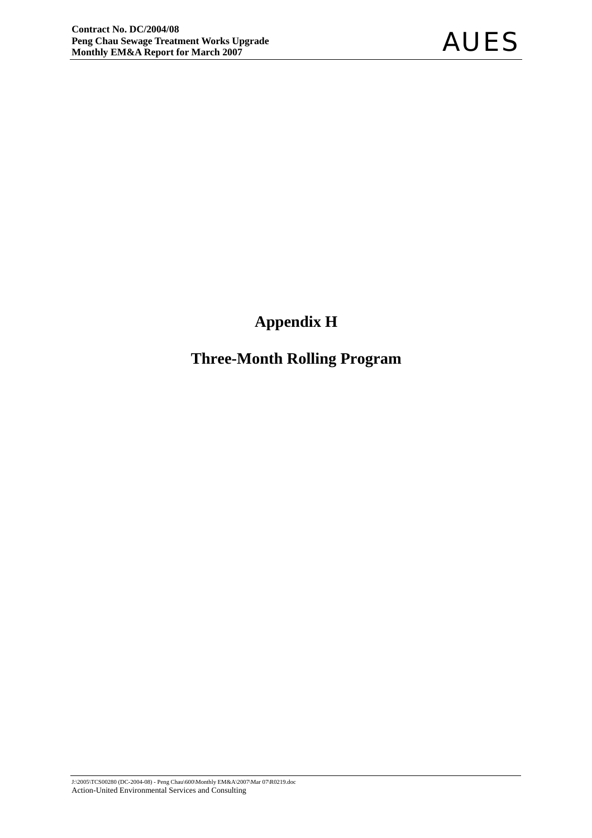# **Appendix H**

# **Three-Month Rolling Program**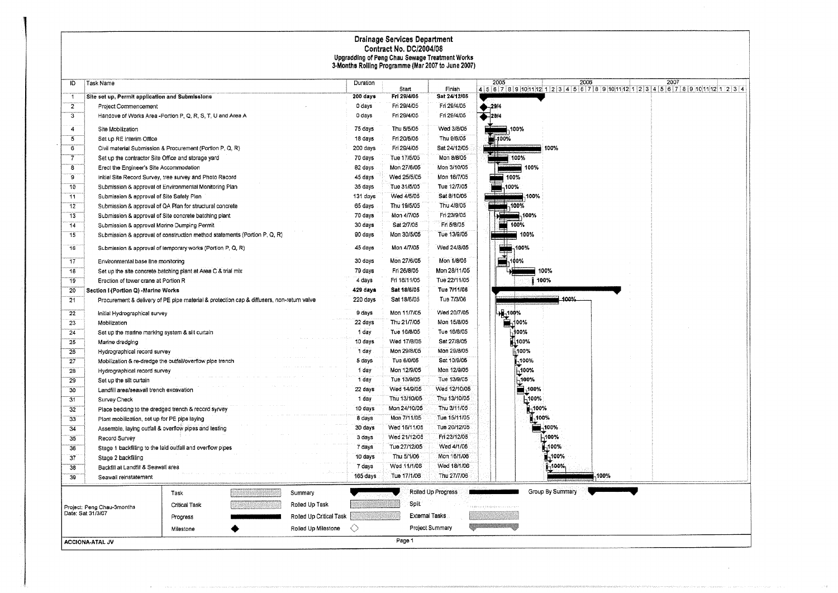# Drainage Services Department<br>Contract No. DC/2004/08<br>Upgradding of Peng Chau Sewage Treatment Works<br>3-Months Rolling Programme (Mar 2007 to June 2007)

| ID                      | Task Name                                          |                                                                                           |                         | Duration  |                      |                        | 2005<br>2006            | 2007                                                                               |
|-------------------------|----------------------------------------------------|-------------------------------------------------------------------------------------------|-------------------------|-----------|----------------------|------------------------|-------------------------|------------------------------------------------------------------------------------|
| $\rightarrow$           | Site set up, Permit application and Submissions    |                                                                                           |                         | 200 days  | Start<br>Fri 29/4/05 | Finish<br>Sat 24/12/05 |                         | 4 5 6 7 8 9 10 11 12 1 2 3 4 5 6 7 8 9 10 11 12 1 2 3 4 5 6 7 8 9 10 11 12 1 2 3 4 |
| $\overline{2}$          | Project Commencement                               |                                                                                           |                         | 0 days    | Fri 29/4/05          | Fri 29/4/05            |                         |                                                                                    |
| $\overline{\mathbf{3}}$ |                                                    | Handove of Works Area - Portion P, Q, R, S, T, U and Area A                               |                         | 0 days    | Fri 29/4/05          | Fri 29/4/05            | $+29/4$<br>$-28/4$      |                                                                                    |
|                         |                                                    |                                                                                           |                         |           |                      |                        |                         |                                                                                    |
| $\overline{4}$          | Site Mobilization                                  |                                                                                           |                         | 75 days   | Thu 5/5/05           | Wed 3/8/05             | .100%                   |                                                                                    |
| 3                       | Set up RE Interim Office                           |                                                                                           |                         | 18 days   | Fri 20/5/05          | Thu 9/6/05             | -100%                   |                                                                                    |
| 6                       |                                                    | Civil material Submission & Procurement (Portion P, Q, R)                                 |                         | 200 days  | Fri 29/4/05          | Sat 24/12/05           | 100%                    |                                                                                    |
| 7                       | Set up the contractor Site Office and storage yard |                                                                                           |                         | 70 days   | Tue 17/5/05          | Mon 8/8/05             | 100%                    |                                                                                    |
| $\overline{\mathbf{a}}$ | Erect the Engineer's Site Accommodation            |                                                                                           |                         | 82 days   | Mon 27/6/05          | Mon 3/10/05            | 100%                    |                                                                                    |
| $\overline{9}$          |                                                    | Initial Site Record Survey, tree survey and Photo Record                                  |                         | 45 days   | Wed 25/5/05          | Mon 18/7/05            | 100%                    |                                                                                    |
| 10                      |                                                    | Submission & approval of Environmental Monitoring Plan                                    |                         | 35 days   | Tue 31/5/05          | Tue 12/7/05            | -100%                   |                                                                                    |
| 11                      | Submission & approval of Site Safety Plan          |                                                                                           |                         | 131 days  | Wed 4/5/05           | Sat 8/10/05            | ₩.100%                  |                                                                                    |
| 12                      |                                                    | Submission & approval of QA Plan for structural concrete                                  |                         | 65 days   | Thu 19/5/05          | Thu 4/8/05             | <sub>n</sub> 100%       |                                                                                    |
| 13                      |                                                    | Submission & approval of Site concrete batching plant                                     |                         | 70 days   | Mon 4/7/05           | Fri 23/9/05            | $+ 100%$                |                                                                                    |
| 14                      | Submission & approval Marine Dumping Permit        |                                                                                           |                         | 30 days   | Sat 2/7/05           | Fri 5/8/05             | $\blacksquare$ 100%     |                                                                                    |
| 15                      |                                                    | Submission & approval of construction method statements (Portion P, Q, R)                 |                         | 90 days   | Mon 30/5/05          | Tue 13/9/05            | ■ 100%                  |                                                                                    |
| 16                      |                                                    | Submission & approval of lemporary works (Portion P, Q, R)                                |                         | 45 days   | Mon 4/7/05           | Wed 24/3/05            | 100%<br>-22             |                                                                                    |
| 17                      | Environmental base line monitoring                 |                                                                                           |                         | 30 days   | Mon 27/6/05          | Mon 1/8/05             | ≃,<br>00%.              |                                                                                    |
| 18                      |                                                    | Set up the site concrete batching plant at Area C & trial mix                             |                         | 79 days   | Fri 26/8/05          | Mon 28/11/05           | 100%                    |                                                                                    |
| 19                      | Eraction of tower crane at Portion R               |                                                                                           |                         | 4 days    | Fri 18/11/05         | Tue 22/11/05           | 100%                    |                                                                                    |
| 20                      | Section I (Portion Q) - Marine Works               |                                                                                           |                         | 429 days  | Sat 18/6/05          | Tue 7/11/06            |                         |                                                                                    |
| 21                      |                                                    | Procurement & delivery of PE pipe material & protection cap & diffusers, non-return valve |                         | 220 days  | Sat 18/6/05          | Tue 7/3/06             | 100%                    |                                                                                    |
|                         |                                                    |                                                                                           |                         |           | Mon 11/7/05          | Wed 20/7/05            |                         |                                                                                    |
| 22                      | Initial Hydrographical survey                      |                                                                                           |                         | 9 days    |                      |                        | $\frac{100}{2}$         |                                                                                    |
| 23                      | Mobilization                                       |                                                                                           |                         | 22 days   | Thu 21/7/05          | Mon 15/8/05            |                         |                                                                                    |
| 24                      | Set up the marine marking system & silt curtain    |                                                                                           |                         | 1 day     | Tue 16/8/05          | Tue 16/8/05            | $-100%$                 |                                                                                    |
| 25                      | Marine dredging                                    |                                                                                           |                         | 10 days   | Wed 17/8/05          | Sat 27/8/05            | 1400%                   |                                                                                    |
| 26                      | Hydrographical record survey                       |                                                                                           |                         | 1 day     | Mon 29/8/05          | Mon 29/8/05            | <b>5100%</b>            |                                                                                    |
| 27                      |                                                    | Mobilization & re-dredge the outfail/overflow pipe trench                                 |                         | 5 days    | Tue 6/9/05           | Sat 10/9/05            | $-100%$                 |                                                                                    |
| 28                      | Hydrographical record survey                       |                                                                                           |                         | 1 day     | Mon 12/9/05          | Mon 12/9/05            | -100%                   |                                                                                    |
| 29                      | Set up the silt curtain                            |                                                                                           |                         | 1 day     | Tue 13/9/05          | Tue 13/9/05            | ,100%                   |                                                                                    |
| 30 <sub>o</sub>         | Landfill area/seawall trench excavation            |                                                                                           |                         | $22$ days | Wed 14/9/05          | Wed 12/10/05           | $-100%$                 |                                                                                    |
| 31                      | Survey Check                                       |                                                                                           |                         | 1 day     | Thu 13/10/05         | Thu 13/10/05           | <b>H100%</b>            |                                                                                    |
| 32                      |                                                    | Place bedding to the dredged trench & record syrvey                                       |                         | 10 days   | Mon 24/10/05         | Thu 3/11/05            | $-100%$                 |                                                                                    |
| 33                      | Plant mobilization, set up for PE pipe laying      |                                                                                           |                         | 8 days    | Mon 7/11/05          | Tue 15/11/05           | 100%                    |                                                                                    |
| 34                      |                                                    | Assemble, laying outfall & overflow pipes and testing                                     |                         | 30 days   | Wed 15/11/05         | Tue 20/12/05           | -100%                   |                                                                                    |
| 35                      | Record Survey                                      |                                                                                           |                         | 3 days    | Wed 21/12/05         | Fri 23/12/05           | 400%                    |                                                                                    |
| 36                      |                                                    | Stage 1 backfilling to the laid outfall and overflow pipes                                |                         | 7 days    | Tue 27/12/05         | Wed 4/1/06             | 1,100%                  |                                                                                    |
| 37                      | Stage 2 backfilling                                |                                                                                           |                         | 10 days   | Thu 5/1/06           | Mon 16/1/06            | $\blacksquare$ 100%     |                                                                                    |
| 38                      | Backfill at Landfill & Seawall area                |                                                                                           |                         | 7 days    | Wed 11/1/06          | Wed 18/1/06            | 1-100%                  |                                                                                    |
| 39                      | Seawall reinstatement                              |                                                                                           |                         | 165 days  | Tue 17/1/06          | Thu 27/7/06            |                         | -100%                                                                              |
|                         |                                                    | Task<br>Ma <i>ng</i> arangan                                                              | Summary                 |           |                      | Rolled Up Progress     | Group By Summary        |                                                                                    |
|                         | Project: Peng Chau-3months                         | Rolled Up Task<br>Critical Task                                                           |                         |           | Spit                 |                        | *********************** |                                                                                    |
|                         | Date: Sat 31/3/07                                  | Progress                                                                                  | Rolled Up Critical Task |           | External Tasks       |                        |                         |                                                                                    |
|                         |                                                    | Milestone                                                                                 | Rolled Up Milestone     | ◇         |                      | Project Summary        |                         |                                                                                    |
|                         |                                                    |                                                                                           |                         |           |                      |                        |                         |                                                                                    |
|                         | ACCIONA-ATAL JV                                    |                                                                                           |                         |           | Page 1               |                        |                         |                                                                                    |

 $\sim$ 

 $\sim$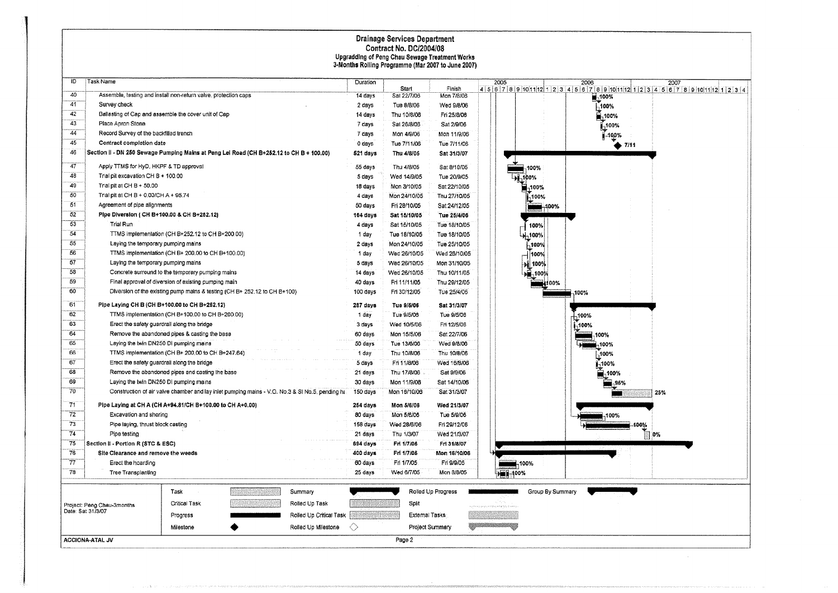# Drainage Services Department<br>Contract No. DC/2004/08<br>Upgradding of Peng Chau Sewage Treatment Works<br>3-Months Rolling Programme (Mar 2007 to June 2007)

| ID                | Task Name                                                                                |                                                                                                 |                          |                         | Duration |                |                    | 2005                |                  | 2006    | 2007                                                                                 |
|-------------------|------------------------------------------------------------------------------------------|-------------------------------------------------------------------------------------------------|--------------------------|-------------------------|----------|----------------|--------------------|---------------------|------------------|---------|--------------------------------------------------------------------------------------|
|                   |                                                                                          |                                                                                                 |                          |                         |          | Start          | Finish             |                     |                  |         | $4 5 6 7 8 9 10 11 12 1 2 3 4 5 6 7 8 9 10 11 12 1 2 3 4 5 6 7 8 9 10 11 12 1 2 3 4$ |
| 40                | Assemble, testing and install non-return valve, protection caps                          |                                                                                                 |                          |                         | 14 days  | Sat 22/7/06    | Mon 7/8/03         |                     |                  | $-100%$ |                                                                                      |
| 41                | Survey check                                                                             |                                                                                                 |                          |                         | 2 days   | Tue 8/8/06     | Wed 9/8/06         |                     |                  | -100%   |                                                                                      |
| 42                | Ballasting of Cap and assemble the cover unit of Cap                                     |                                                                                                 |                          |                         | 14 days  | Thu 10/8/08    | Fri 25/8/06        |                     |                  | ∰,100%  |                                                                                      |
| 43                | Place Apron Stone                                                                        |                                                                                                 |                          |                         | 7 days   | Sat 26/8/03    | Sat 2/9/06         |                     |                  | ,100%   |                                                                                      |
| 44                | Record Survey of the backfilled trench                                                   |                                                                                                 |                          |                         | 7 days   | Mon 4/9/06     | Mon 11/9/06        |                     |                  | 100%    |                                                                                      |
| 45                | Contract completion date                                                                 |                                                                                                 |                          |                         | 0 days   | Tue 7/11/06    | Tue 7/11/06        |                     |                  | 7/11    |                                                                                      |
| 46                | Section II - DN 250 Sewage Pumping Mains at Peng Lei Road (CH B+252.12 to CH B + 100.00) |                                                                                                 |                          |                         | 521 days | Thu 4/8/05     | Sat 31/3/07        |                     |                  |         |                                                                                      |
| 47                | Apply TTMS for HyD, HKPF & TD approval                                                   |                                                                                                 |                          |                         | 55 days  | Thu 4/8/05     | Sat 8/10/05        | 100%                |                  |         |                                                                                      |
| 48                | Trial pit excavation CH B + 100.00                                                       |                                                                                                 |                          |                         | 5 days   | Wed 14/9/05    | Tue 20/9/05        | H-100%              |                  |         |                                                                                      |
| 49                | Trial pit at CH $B + 50.00$                                                              |                                                                                                 |                          |                         | 18 days  | Mon 3/10/05    | Sat 22/10/05       | $\blacksquare$ 100% |                  |         |                                                                                      |
| 50                | Trial pit at CH B + 0,00/CH A + 95.74                                                    |                                                                                                 |                          |                         | 4 days   | Mon 24/10/05   | Thu 27/10/05       | -100%               |                  |         |                                                                                      |
| 51                | Agreement of pipe alignments                                                             |                                                                                                 |                          |                         | 50 days  | Fri 28/10/05   | Sat 24/12/05       |                     | -400%            |         |                                                                                      |
| 52                | Pipe Diversion ( CH B+100.00 & CH B+252.12)                                              |                                                                                                 |                          |                         | 164 days | Sat 15/10/05   | Tue 25/4/06        |                     |                  |         |                                                                                      |
| 53                | Trial Run                                                                                |                                                                                                 |                          |                         | 4 days   | Sat 15/10/05   | Tue 18/10/05       | 100%                |                  |         |                                                                                      |
| 54                |                                                                                          | TTMS implementation (CH B+252.12 to CH B+200.00)                                                |                          |                         | 1 day    | Tue 18/10/05   | Tue 18/10/05       | 100%                |                  |         |                                                                                      |
| 55                | Laying the temporary pumping mains                                                       |                                                                                                 |                          |                         | 2 days   | Mon 24/10/05   | Tue 25/10/05       | -100%               |                  |         |                                                                                      |
| 56                |                                                                                          | TTMS implementation (CH B+ 200.00 to CH B+100.00)                                               |                          |                         | 1 day    | Wed 26/10/05   | Wed 26/10/05       | 100%                |                  |         |                                                                                      |
| 57                | Laying the temporary pumping mains                                                       |                                                                                                 |                          |                         | 5 days   | Wed 26/10/05   | Mon 31/10/05       | 뇌 100%              |                  |         |                                                                                      |
| 58                |                                                                                          | Concrete surround to the temporary pumping mains                                                |                          |                         | 14 days  | Wed 26/10/05   | Thu 10/11/05       | JP-100%             |                  |         |                                                                                      |
| 59                |                                                                                          | Final approval of diversion of existing pumping main                                            |                          |                         | 40 days  | Fri 11/11/05   | Thu 29/12/05       |                     | ■4100%           |         |                                                                                      |
| 60                |                                                                                          | Diversion of the existing pump mains & testing (CH B+ 252,12 to CH B+100)                       |                          |                         | 100 days | Fri 30/12/05   | Tue 25/4/06        |                     |                  | 100%    |                                                                                      |
|                   |                                                                                          |                                                                                                 |                          |                         |          |                |                    |                     |                  |         |                                                                                      |
| 61<br>62          | Pipe Laying CH B (CH B+100.00 to CH B+252.12)                                            |                                                                                                 |                          |                         | 287 days | Tue 9/5/06     | Sat 31/3/07        |                     |                  |         |                                                                                      |
|                   |                                                                                          | TTMS implementation (CH B+100.00 to CH B+200.00)                                                |                          |                         | 1 day    | Tue 9/5/06     | Tue 9/5/06         |                     |                  | ,100%   |                                                                                      |
| 63                | Erect the safety guardrall along the bridge                                              |                                                                                                 |                          |                         | 3 days   | Wed 10/5/06    | Fri 12/5/06        |                     |                  | -100%   |                                                                                      |
| 64                |                                                                                          | Remove the abandoned pipes & casting the base                                                   |                          |                         | 60 days  | Mon 15/5/06    | Sat 22/7/06        |                     |                  | 100%    |                                                                                      |
| 65                | Laying the twin DN250 DI pumping mains                                                   |                                                                                                 |                          |                         | 50 days  | Tue 13/6/06    | Wed 9/8/06         |                     |                  | 100%    |                                                                                      |
| 66                |                                                                                          | TTMS implementation (CH B+ 200,00 to CH B+247.64)                                               |                          |                         | 1 day    | Thu 10/8/06    | Thu 10/8/06        |                     |                  | 100%    |                                                                                      |
| 67                | Erect the safety guardrall along the bridge                                              |                                                                                                 |                          |                         | 5 days   | Fri 11/8/06    | Wed 16/8/06        |                     |                  | -100%   |                                                                                      |
| 68                |                                                                                          | Remove the abandoned pipes and casting the base                                                 |                          |                         | 21 days  | Thu 17/8/06    | Sat 9/9/06         |                     |                  |         |                                                                                      |
| 69                | Laying the twin DN250 DI pumping mains                                                   |                                                                                                 |                          |                         | 30 days  | Mon 11/9/06    | Sat 14/10/06       |                     |                  |         |                                                                                      |
| 70                |                                                                                          | Construction of air valve chamber and lay inlet pumping mains - V.O. No.3 & SI No.5, pending ha |                          |                         | 150 days | Mon 16/10/06   | Sat 31/3/07        |                     |                  |         | 25%                                                                                  |
| 71                | Pipe Laying at CH A (CH A+94.81/CH B+100.00 to CH A+0.00)                                |                                                                                                 |                          |                         | 254 days | Mon 5/6/08     | Wed 21/3/07        |                     |                  |         |                                                                                      |
| 72                | Excavation and shoring                                                                   |                                                                                                 |                          |                         | 80 days  | Mon 5/6/06     | Tue 5/9/06         |                     |                  | 100%    |                                                                                      |
| 73                | Pipe laying, thrust block casting                                                        |                                                                                                 |                          |                         | 158 days | Wed 28/6/06    | Fri 29/12/06       |                     |                  | 400%    |                                                                                      |
| 74                | Pipe testing                                                                             |                                                                                                 |                          |                         | 21 days  | Thu 1/3/07     | Wed 21/3/07        |                     |                  |         | ヿ 0%                                                                                 |
| 75                | Section II - Portion R (STC & ESC)                                                       |                                                                                                 |                          |                         | 694 days | Fri 1/7/05     | Fri 31/8/07        |                     |                  |         |                                                                                      |
| 76                | Site Clearance and remove the weeds                                                      |                                                                                                 |                          |                         | 400 days | Fri 1/7/05     | Mon 16/10/06       |                     |                  |         |                                                                                      |
| $\overline{77}$   | Erect the hoarding                                                                       |                                                                                                 |                          |                         | 60 days  | Fri 1/7/05     | Fri 9/9/05         | $\blacksquare$ 100% |                  |         |                                                                                      |
| 78                | Tree Transplanting                                                                       |                                                                                                 |                          |                         | 25 days  | Wed 6/7/05     | Моп 8/8/05         | De 2400%            |                  |         |                                                                                      |
|                   |                                                                                          |                                                                                                 |                          |                         |          |                |                    |                     |                  |         |                                                                                      |
|                   |                                                                                          | Task                                                                                            | <u> 1953 - 1964 1965</u> | Summary                 |          |                | Rolled Up Progress |                     | Group By Summary |         |                                                                                      |
|                   | Project: Peng Chau-3months                                                               | Critical Task                                                                                   | Waxaa                    | Rolled Up Task          |          | Split          |                    |                     |                  |         |                                                                                      |
| Date: Sat 31/3/07 |                                                                                          | Progress                                                                                        |                          | Rolled Up Critical Task |          | External Tasks |                    |                     |                  |         |                                                                                      |
|                   |                                                                                          | Milestone                                                                                       |                          | Rolled Up Milestone     | ◇        |                | Project Summary    |                     |                  |         |                                                                                      |
|                   | ACCIONA-ATAL JV                                                                          |                                                                                                 |                          |                         |          | Page 2         |                    |                     |                  |         |                                                                                      |
|                   |                                                                                          |                                                                                                 |                          |                         |          |                |                    |                     |                  |         |                                                                                      |

percentage in a provincializa-

a di Kabupatèn Landaran Jaw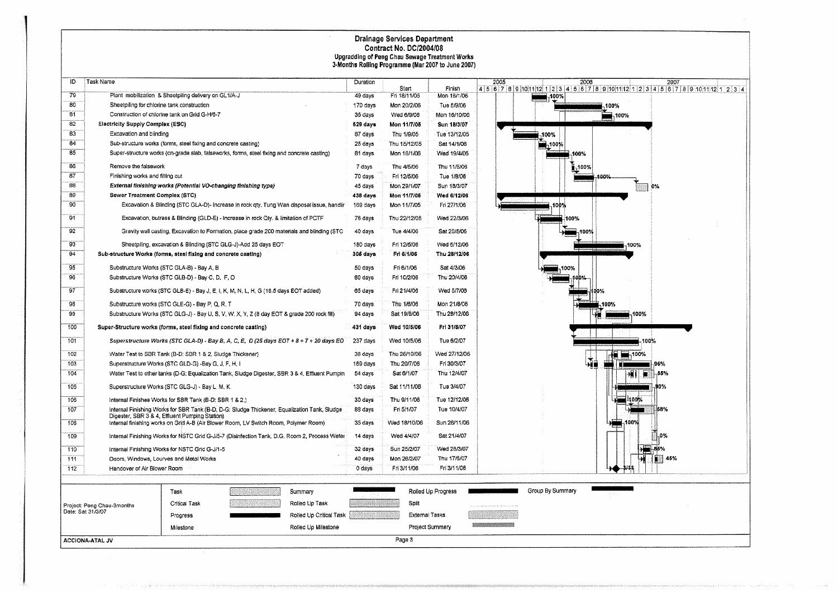# Drainage Services Department<br>Contract No. DC/2004/08<br>Upgradding of Peng Chau Sewage Treatment Works<br>3-Months Rolling Programme (Mar 2007 to June 2007)  $\mathcal{A}$

| ID  | Task Name                                                        |                                                                 |                                                                                                |                         | Duration            |              |                    | 2005                                         | 2006                 | 2007                                                                                |
|-----|------------------------------------------------------------------|-----------------------------------------------------------------|------------------------------------------------------------------------------------------------|-------------------------|---------------------|--------------|--------------------|----------------------------------------------|----------------------|-------------------------------------------------------------------------------------|
|     |                                                                  |                                                                 |                                                                                                |                         |                     | Start        | Finish             |                                              |                      | $4 5 6 7 8 9 10 11 12 1 2 3 4 5 6 7 8 9 10 11 12 1 23 4 5 6 7 8 9 10 11 12 1 2 3 4$ |
| 79  |                                                                  | Plant mobilization & Sheetpiling delivery on GL1/A-J            |                                                                                                |                         | 49 days             | Fri 18/11/05 | Mon 16/1/06        | $\blacksquare$ <sub>190%</sub>               |                      |                                                                                     |
| 80  | Sheetpiling for chlorine tank construction                       |                                                                 |                                                                                                |                         | 170 days            | Mon 20/2/06  | Tue 5/9/06         |                                              | ,100%                |                                                                                     |
| 81  |                                                                  | Construction of chlorine tank on Grid G-H/6-7                   |                                                                                                |                         | 35 days             | Wed 6/9/06   | Mon 16/10/06       |                                              | $\blacksquare$ ,100% |                                                                                     |
| 82  | <b>Electricity Supply Complex (ESC)</b>                          |                                                                 |                                                                                                |                         | 629 days            | Mon 11/7/05  | Sun 18/3/07        |                                              |                      |                                                                                     |
| 83  | Excavation and blinding                                          |                                                                 |                                                                                                |                         | 87 days             | Thu 1/9/05   | Tue 13/12/05       | 100%                                         |                      |                                                                                     |
| 84  |                                                                  | Sub-structure works (forms, steel fixing and concrete casting)  |                                                                                                |                         | 25 days             | Thu 15/12/05 | Sat 14/1/06        | ■-100‰                                       |                      |                                                                                     |
| 85  |                                                                  |                                                                 | Super-structure works (on-grade slab, falseworks, forms, steel fixing and concrete casting)    |                         | 81 days             | Mon 16/1/06  | Wed 19/4/06        |                                              | 100%                 |                                                                                     |
| 86  | Remove the falsework                                             |                                                                 |                                                                                                |                         | 7 days              | Thu 4/5/06   | Thu 11/5/06        |                                              | $-100%$              |                                                                                     |
| 87  | Finishing works and fitting out                                  |                                                                 |                                                                                                |                         | 70 days             | Fri 12/5/06  | Tue 1/8/06         |                                              | 100%                 |                                                                                     |
| 88  |                                                                  | External finishing works (Potential VO-changing finishing type) |                                                                                                |                         | 45 days             | Mon 29/1/07  | Sun 18/3/07        |                                              |                      | 0%                                                                                  |
| 89  | Sewer Treatment Complex (STC)                                    |                                                                 |                                                                                                |                         | 438 days            | Mon 11/7/05  | Wed 6/12/06        |                                              |                      |                                                                                     |
| 90  |                                                                  |                                                                 | Excavation & Blinding (STC GLA-D)- Increase in rock qty. Tung Wan disposal issue, handlir      |                         | 169 davs            | Mon 11/7/05  | Fri 27/1/06        |                                              | IOÒ%                 |                                                                                     |
| 91  |                                                                  |                                                                 | Excavation, butress & Blinding (GLD-E) - Increase in rock Qty. & limitation of PCTF            |                         | 76 days             | Thu 22/12/05 | Wed 22/3/06        |                                              | 100%                 |                                                                                     |
| 92  |                                                                  |                                                                 | Gravity wall casting, Excavation to Formation, place grade 200 materials and blinding (STC     |                         | 40 days             | Tue 4/4/06   | Sat 20/5/06        |                                              | 100%                 |                                                                                     |
| 93  |                                                                  |                                                                 | Sheetpiling, excavation & Blinding (STC GLG-J)-Add 25 days EOT                                 |                         | 180 days            | Fri 12/5/06  | Wed 5/12/06        |                                              | 100%                 |                                                                                     |
| 94  | Sub-structure Works (forms, steel fixing and concrete casting)   |                                                                 |                                                                                                |                         | 305 days            | Fri 6/1/06   | Thu 28/12/06       |                                              |                      |                                                                                     |
| 95  |                                                                  | Substructure Works (STC GLA-B) - Bay A, B                       |                                                                                                |                         | 50 days             | Fri 6/1/06   | Sat 4/3/06         |                                              | 100%                 |                                                                                     |
| 96  |                                                                  | Substructure Works (STC GLB-D) - Bay C, D, F, O                 |                                                                                                |                         | 60 days             | Fri 10/2/06  | Thu 20/4/06        |                                              |                      |                                                                                     |
| 97  |                                                                  |                                                                 | Substructure works (STC GLB-E) - Bay J, E, I, K, M, N, L, H, G (16.5 days EOT added)           |                         | 65 days             | Fri 21/4/06  | Wed 5/7/03         |                                              |                      |                                                                                     |
| 98  |                                                                  | Substructure works (STC GLE-G) - Bay P, Q, R, T                 |                                                                                                |                         | 70 days             | Thu 1/6/06   | Mon 21/8/06        |                                              | 100%                 |                                                                                     |
| 99  |                                                                  |                                                                 | Substructure Works (STC GLG-J) - Bay U, S, V, W, X, Y, Z (8 day EOT & grade 200 rock fill)     |                         | 94 days             | Sat 19/8/06  | Thu 28/12/06       |                                              | 100%                 |                                                                                     |
| 100 | Super-Structure works (forms, steel fixing and concrete casting) |                                                                 |                                                                                                |                         | 431 days            | Wed 10/5/06  | Fri 31/8/07        |                                              |                      |                                                                                     |
| 101 |                                                                  |                                                                 | Superstructure Works (STC GLA-D) - Bay B, A, C, E, D (25 days EOT + 8 + 7 + 20 days EO         |                         | 237 days            | Wed 10/5/06  | Tue 6/2/07         |                                              |                      | 100%                                                                                |
| 102 |                                                                  | Water Test to SBR Tank (B-D: SBR 1 & 2, Sludge Thickener)       |                                                                                                |                         | 38 days             | Thu 26/10/06 | Wed 27/12/06       |                                              | 12 100%              |                                                                                     |
| 103 |                                                                  | Superstructure Works (STC GLD-G) -Bay G, J, F, H, I             |                                                                                                |                         | 169 days            | Thu 20/7/06  | Fri 30/3/07        |                                              | भौं∯                 | 96%                                                                                 |
| 104 |                                                                  |                                                                 | Water Test to other tanks (D-G: Equalization Tank, Sludge Digester, SBR 3 & 4, Effluent Pumpin |                         | 54 days             | Sat 6/1/07   | Thu 12/4/07        |                                              | ₩IJ                  | 55%<br>۱.                                                                           |
| 105 |                                                                  | Superstructure Works (STC GLG-J) - Bay L, M, K.                 |                                                                                                |                         | 130 days            | Sat 11/11/06 | Tue 3/4/07         |                                              |                      | 90%                                                                                 |
| 106 |                                                                  | Internal Finishes Works for SBR Tank (B-D: SBR 1 & 2,)          |                                                                                                |                         | 30 days             | Thu 9/11/06  | Tue 12/12/06       |                                              | 400%                 |                                                                                     |
| 107 |                                                                  | Digester, SBR 3 & 4, Effluent Pumping Station)                  | Internal Finishing Works for SBR Tank (B-D, D-G: Sludge Thickener, Equalization Tank, Sludge   |                         | 88 days             | Fri 5/1/07   | Tue 10/4/07        |                                              |                      | 58%                                                                                 |
| 108 |                                                                  |                                                                 | Internal finishing works on Grid A-B (Air Blower Room, LV Switch Room, Polymer Room)           |                         | 35 days             | Wad 18/10/06 | Sun 26/11/06       |                                              | 100%                 |                                                                                     |
| 109 |                                                                  |                                                                 | Internal Finishing Works for NSTC Grid G-J/5-7 (Disinfection Tank, D.G. Room 2, Process Water  |                         | 14 days             | Wed 4/4/07   | Sat 21/4/07        |                                              |                      | 0%                                                                                  |
| 110 |                                                                  | Internal Finishing Works for NSTC Grid G-J/1-5                  |                                                                                                |                         | 32 days             | Sun 25/2/07  | Wed 28/3/07        |                                              |                      |                                                                                     |
| 111 | Doors, Windows, Lourves and Metal Works                          |                                                                 |                                                                                                |                         | 40 days             | Mon 26/2/07  | Thu 17/5/07        |                                              |                      | 45%                                                                                 |
| 112 | Handover of Air Blower Room                                      |                                                                 |                                                                                                |                         |                     | Fri 3/11/06  | Fri 3/11/06        |                                              |                      |                                                                                     |
|     |                                                                  |                                                                 |                                                                                                |                         |                     |              |                    |                                              |                      |                                                                                     |
|     |                                                                  | Task                                                            | a shekara ta wasan wasa                                                                        | Summary                 |                     |              | Rolled Up Progress | Group By Summary                             |                      |                                                                                     |
|     | Project: Peng Chau-3months                                       | Critical Task                                                   |                                                                                                | Rolled Up Task          | <u>SHOWA DEGANA</u> | Split        |                    |                                              |                      |                                                                                     |
|     | Date: Sat 31/3/07                                                | Progress                                                        |                                                                                                | Rolled Up Critical Task |                     |              | External Tasks     |                                              |                      |                                                                                     |
|     |                                                                  | Milestone                                                       |                                                                                                | Rolled Up Milestone     |                     |              | Project Summary    | <b>We develop the company of the company</b> |                      |                                                                                     |
|     | ACCIONA-ATAL JV                                                  |                                                                 |                                                                                                |                         |                     | Page 3       |                    |                                              |                      |                                                                                     |

na muzeu ya seran